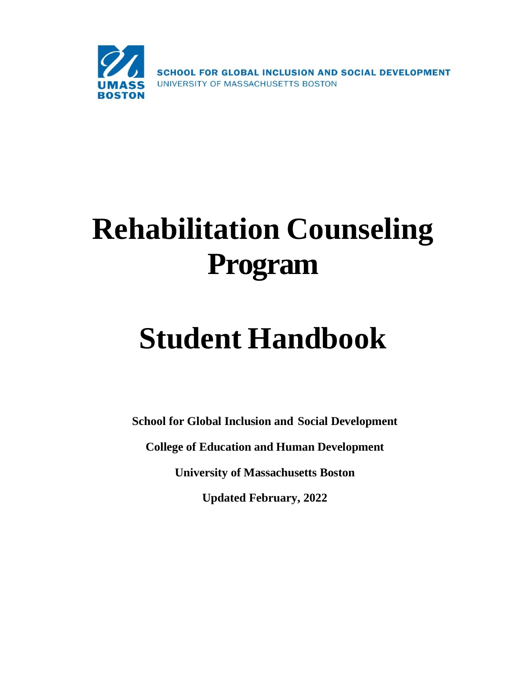

# **Rehabilitation Counseling Program**

# **Student Handbook**

**School for Global Inclusion and Social Development College of Education and Human Development University of Massachusetts Boston Updated February, 2022**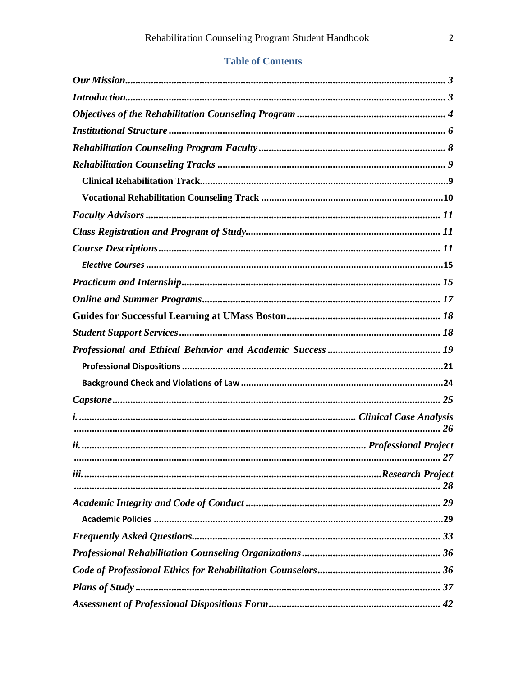# **Table of Contents**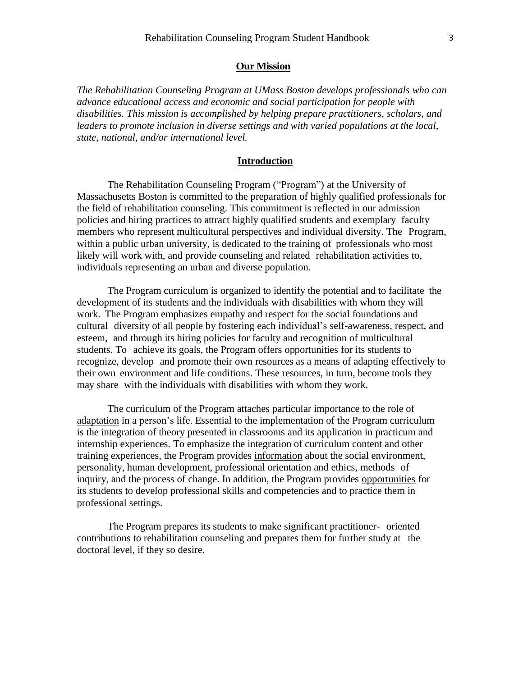#### **Our Mission**

<span id="page-2-0"></span>*The Rehabilitation Counseling Program at UMass Boston develops professionals who can advance educational access and economic and social participation for people with disabilities. This mission is accomplished by helping prepare practitioners, scholars, and leaders to promote inclusion in diverse settings and with varied populations at the local, state, national, and/or international level.*

#### **Introduction**

<span id="page-2-1"></span>The Rehabilitation Counseling Program ("Program") at the University of Massachusetts Boston is committed to the preparation of highly qualified professionals for the field of rehabilitation counseling. This commitment is reflected in our admission policies and hiring practices to attract highly qualified students and exemplary faculty members who represent multicultural perspectives and individual diversity. The Program, within a public urban university, is dedicated to the training of professionals who most likely will work with, and provide counseling and related rehabilitation activities to, individuals representing an urban and diverse population.

The Program curriculum is organized to identify the potential and to facilitate the development of its students and the individuals with disabilities with whom they will work. The Program emphasizes empathy and respect for the social foundations and cultural diversity of all people by fostering each individual's self-awareness, respect, and esteem, and through its hiring policies for faculty and recognition of multicultural students. To achieve its goals, the Program offers opportunities for its students to recognize, develop and promote their own resources as a means of adapting effectively to their own environment and life conditions. These resources, in turn, become tools they may share with the individuals with disabilities with whom they work.

The curriculum of the Program attaches particular importance to the role of adaptation in a person's life. Essential to the implementation of the Program curriculum is the integration of theory presented in classrooms and its application in practicum and internship experiences. To emphasize the integration of curriculum content and other training experiences, the Program provides information about the social environment, personality, human development, professional orientation and ethics, methods of inquiry, and the process of change. In addition, the Program provides opportunities for its students to develop professional skills and competencies and to practice them in professional settings.

The Program prepares its students to make significant practitioner- oriented contributions to rehabilitation counseling and prepares them for further study at the doctoral level, if they so desire.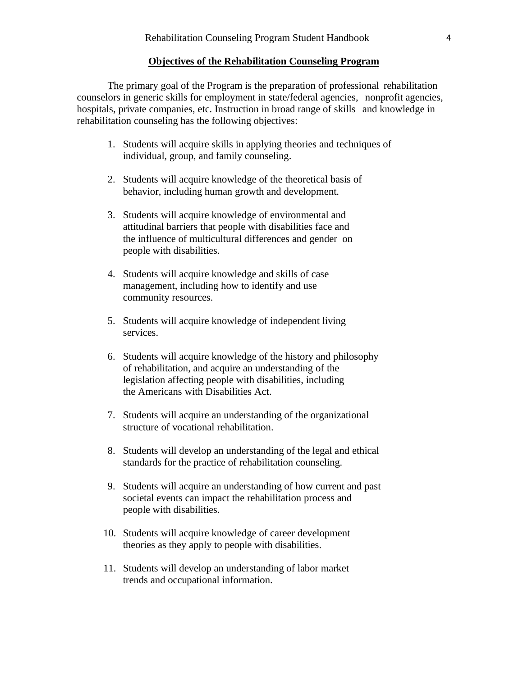#### **Objectives of the Rehabilitation Counseling Program**

<span id="page-3-0"></span>The primary goal of the Program is the preparation of professional rehabilitation counselors in generic skills for employment in state/federal agencies, nonprofit agencies, hospitals, private companies, etc. Instruction in broad range of skills and knowledge in rehabilitation counseling has the following objectives:

- 1. Students will acquire skills in applying theories and techniques of individual, group, and family counseling.
- 2. Students will acquire knowledge of the theoretical basis of behavior, including human growth and development.
- 3. Students will acquire knowledge of environmental and attitudinal barriers that people with disabilities face and the influence of multicultural differences and gender on people with disabilities.
- 4. Students will acquire knowledge and skills of case management, including how to identify and use community resources.
- 5. Students will acquire knowledge of independent living services.
- 6. Students will acquire knowledge of the history and philosophy of rehabilitation, and acquire an understanding of the legislation affecting people with disabilities, including the Americans with Disabilities Act.
- 7. Students will acquire an understanding of the organizational structure of vocational rehabilitation.
- 8. Students will develop an understanding of the legal and ethical standards for the practice of rehabilitation counseling.
- 9. Students will acquire an understanding of how current and past societal events can impact the rehabilitation process and people with disabilities.
- 10. Students will acquire knowledge of career development theories as they apply to people with disabilities.
- 11. Students will develop an understanding of labor market trends and occupational information.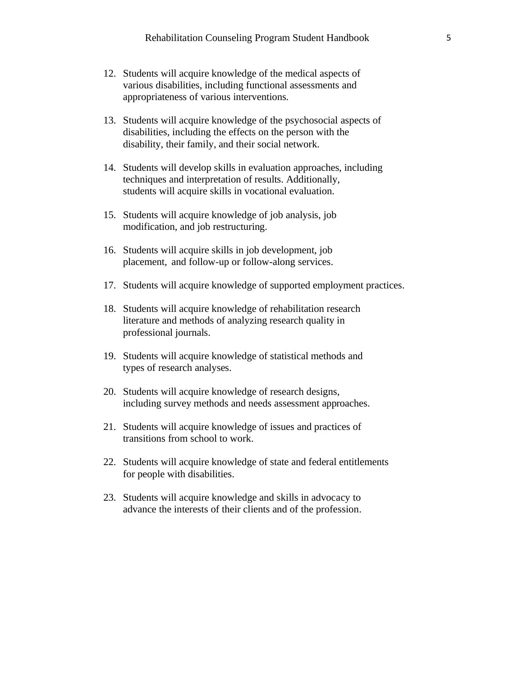- 12. Students will acquire knowledge of the medical aspects of various disabilities, including functional assessments and appropriateness of various interventions.
- 13. Students will acquire knowledge of the psychosocial aspects of disabilities, including the effects on the person with the disability, their family, and their social network.
- 14. Students will develop skills in evaluation approaches, including techniques and interpretation of results. Additionally, students will acquire skills in vocational evaluation.
- 15. Students will acquire knowledge of job analysis, job modification, and job restructuring.
- 16. Students will acquire skills in job development, job placement, and follow-up or follow-along services.
- 17. Students will acquire knowledge of supported employment practices.
- 18. Students will acquire knowledge of rehabilitation research literature and methods of analyzing research quality in professional journals.
- 19. Students will acquire knowledge of statistical methods and types of research analyses.
- 20. Students will acquire knowledge of research designs, including survey methods and needs assessment approaches.
- 21. Students will acquire knowledge of issues and practices of transitions from school to work.
- 22. Students will acquire knowledge of state and federal entitlements for people with disabilities.
- 23. Students will acquire knowledge and skills in advocacy to advance the interests of their clients and of the profession.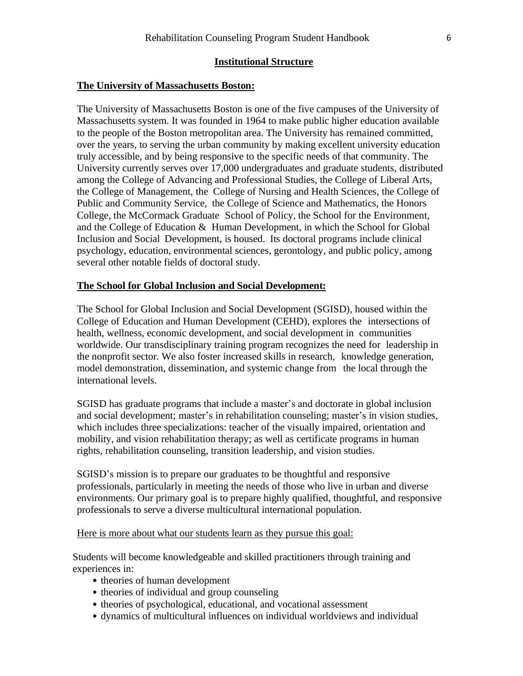#### **Institutional Structure**

#### <span id="page-5-0"></span>**The University of Massachusetts Boston:**

The University of Massachusetts Boston is one of the five campuses of the University of Massachusetts system. It was founded in 1964 to make public higher education available to the people of the Boston metropolitan area. The University has remained committed, over the years, to serving the urban community by making excellent university education truly accessible, and by being responsive to the specific needs of that community. The University currently serves over 17,000 undergraduates and graduate students, distributed among the College of Advancing and Professional Studies, the College of Liberal Arts, the College of Management, the College of Nursing and Health Sciences, the College of Public and Community Service, the College of Science and Mathematics, the Honors College, the McCormack Graduate School of Policy, the School for the Environment, and the College of Education & Human Development, in which the School for Global Inclusion and Social Development, is housed. Its doctoral programs include clinical psychology, education, environmental sciences, gerontology, and public policy, among several other notable fields of doctoral study.

# **The School for Global Inclusion and Social Development:**

The School for Global Inclusion and Social Development (SGISD), housed within the College of Education and Human Development (CEHD), explores the intersections of health, wellness, economic development, and social development in communities worldwide. Our transdisciplinary training program recognizes the need for leadership in the nonprofit sector. We also foster increased skills in research, knowledge generation, model demonstration, dissemination, and systemic change from the local through the international levels.

SGISD has graduate programs that include a master's and doctorate in global inclusion and social development; master's in rehabilitation counseling; master's in vision studies, which includes three specializations: teacher of the visually impaired, orientation and mobility, and vision rehabilitation therapy; as well as certificate programs in human rights, rehabilitation counseling, transition leadership, and vision studies.

SGISD's mission is to prepare our graduates to be thoughtful and responsive professionals, particularly in meeting the needs of those who live in urban and diverse environments. Our primary goal is to prepare highly qualified, thoughtful, and responsive professionals to serve a diverse multicultural international population.

Here is more about what our students learn as they pursue this goal:

Students will become knowledgeable and skilled practitioners through training and experiences in:

- theories of human development
- theories of individual and group counseling
- theories of psychological, educational, and vocational assessment
- dynamics of multicultural influences on individual worldviews and individual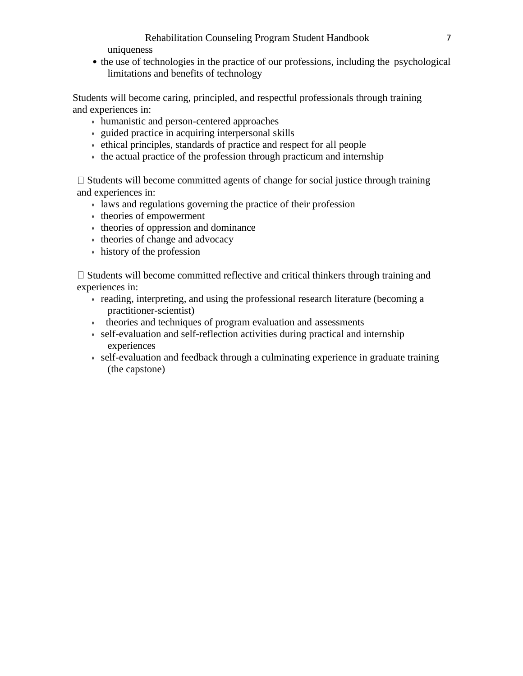# Rehabilitation Counseling Program Student Handbook 7

uniqueness

• the use of technologies in the practice of our professions, including the psychological limitations and benefits of technology

Students will become caring, principled, and respectful professionals through training and experiences in:

- humanistic and person-centered approaches
- guided practice in acquiring interpersonal skills
- ethical principles, standards of practice and respect for all people
- the actual practice of the profession through practicum and internship

 $\Box$  Students will become committed agents of change for social justice through training and experiences in:

- laws and regulations governing the practice of their profession
- theories of empowerment
- theories of oppression and dominance
- theories of change and advocacy
- history of the profession

 $\Box$  Students will become committed reflective and critical thinkers through training and experiences in:

- reading, interpreting, and using the professional research literature (becoming a practitioner-scientist)
- theories and techniques of program evaluation and assessments
- self-evaluation and self-reflection activities during practical and internship experiences
- self-evaluation and feedback through a culminating experience in graduate training (the capstone)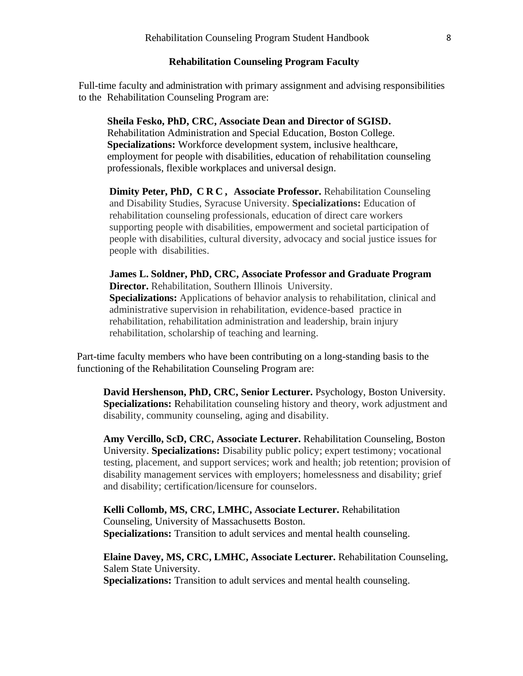#### **Rehabilitation Counseling Program Faculty**

<span id="page-7-0"></span>Full-time faculty and administration with primary assignment and advising responsibilities to the Rehabilitation Counseling Program are:

#### **Sheila Fesko, PhD, CRC, Associate Dean and Director of SGISD.**

Rehabilitation Administration and Special Education, Boston College. **Specializations:** Workforce development system, inclusive healthcare, employment for people with disabilities, education of rehabilitation counseling professionals, flexible workplaces and universal design.

**Dimity Peter, PhD, C R C , Associate Professor.** Rehabilitation Counseling and Disability Studies, Syracuse University. **Specializations:** Education of rehabilitation counseling professionals, education of direct care workers supporting people with disabilities, empowerment and societal participation of people with disabilities, cultural diversity, advocacy and social justice issues for people with disabilities.

**James L. Soldner, PhD, CRC, Associate Professor and Graduate Program Director.** Rehabilitation, Southern Illinois University. **Specializations:** Applications of behavior analysis to rehabilitation, clinical and administrative supervision in rehabilitation, evidence-based practice in rehabilitation, rehabilitation administration and leadership, brain injury rehabilitation, scholarship of teaching and learning.

Part-time faculty members who have been contributing on a long-standing basis to the functioning of the Rehabilitation Counseling Program are:

**David Hershenson, PhD, CRC, Senior Lecturer.** Psychology, Boston University. **Specializations:** Rehabilitation counseling history and theory, work adjustment and disability, community counseling, aging and disability.

**Amy Vercillo, ScD, CRC, Associate Lecturer.** Rehabilitation Counseling, Boston University. **Specializations:** Disability public policy; expert testimony; vocational testing, placement, and support services; work and health; job retention; provision of disability management services with employers; homelessness and disability; grief and disability; certification/licensure for counselors.

**Kelli Collomb, MS, CRC, LMHC, Associate Lecturer.** Rehabilitation Counseling, University of Massachusetts Boston. **Specializations:** Transition to adult services and mental health counseling.

**Elaine Davey, MS, CRC, LMHC, Associate Lecturer.** Rehabilitation Counseling, Salem State University.

**Specializations:** Transition to adult services and mental health counseling.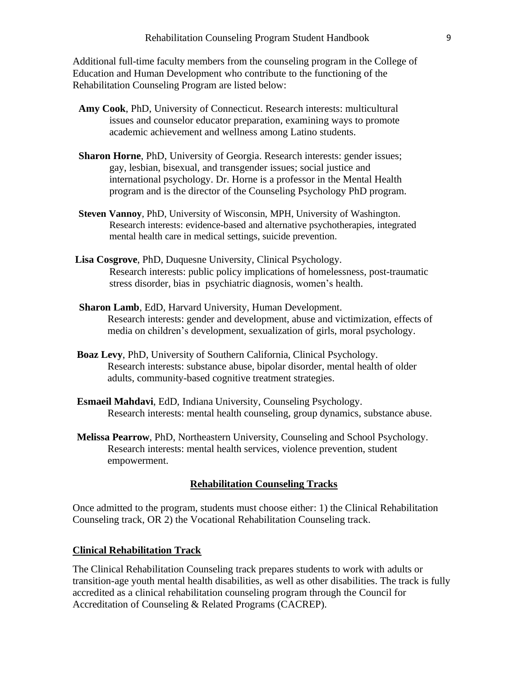Additional full-time faculty members from the counseling program in the College of Education and Human Development who contribute to the functioning of the Rehabilitation Counseling Program are listed below:

- **Amy [Cook](https://www.umb.edu/academics/cehd/faculty/amy_cook)**, PhD, University of Connecticut. Research interests: multicultural issues and counselor educator preparation, examining ways to promote academic achievement and wellness among Latino students.
- **[Sharon](https://www.umb.edu/academics/cehd/faculty/sharon_horne) Horne**, PhD, University of Georgia. Research interests: gender issues; gay, lesbian, bisexual, and transgender issues; social justice and international psychology. Dr. Horne is a professor in the Mental Health program and is the director of the Counseling Psychology PhD program.
- **Steven [Vannoy](https://www.umb.edu/academics/cehd/faculty/steven_vannoy)**, PhD, University of Wisconsin, MPH, University of Washington. Research interests: evidence-based and alternative psychotherapies, integrated mental health care in medical settings, suicide prevention.
- **Lisa Cosgrove**, PhD, Duquesne University, Clinical Psychology. Research interests: public policy implications of homelessness, post-traumatic stress disorder, bias in psychiatric diagnosis, women's health.
- **Sharon Lamb**, EdD, Harvard University, Human Development. Research interests: gender and development, abuse and victimization, effects of media on children's development, sexualization of girls, moral psychology.
- **Boaz Levy**, PhD, University of Southern California, Clinical Psychology. Research interests: substance abuse, bipolar disorder, mental health of older adults, community-based cognitive treatment strategies.
- **Esmaeil Mahdavi**, EdD, Indiana University, Counseling Psychology. Research interests: mental health counseling, group dynamics, substance abuse.
- **Melissa Pearrow**, PhD, Northeastern University, Counseling and School Psychology. Research interests: mental health services, violence prevention, student empowerment.

#### **Rehabilitation Counseling Tracks**

<span id="page-8-0"></span>Once admitted to the program, students must choose either: 1) the Clinical Rehabilitation Counseling track, OR 2) the Vocational Rehabilitation Counseling track.

#### <span id="page-8-1"></span>**Clinical Rehabilitation Track**

The Clinical Rehabilitation Counseling track prepares students to work with adults or transition-age youth mental health disabilities, as well as other disabilities. The track is fully accredited as a clinical rehabilitation counseling program through the [Council](http://www.cacrep.org/) for [Accreditation](http://www.cacrep.org/) of Counseling & Related Programs (CACREP).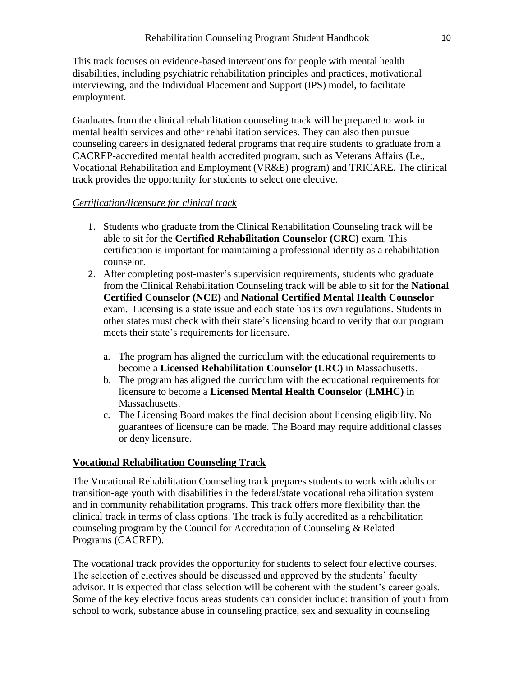This track focuses on evidence-based interventions for people with mental health disabilities, including psychiatric [rehabilitation](http://www.uspra.org/who-we-are/core-principles-and-values) principles and practices, [motivational](http://www.motivationalinterviewing.org/) [interviewing,](http://www.motivationalinterviewing.org/) and the Individual [Placement](https://www.ipsworks.org/about-ips/) and Support (IPS) model, to facilitate employment.

Graduates from the clinical rehabilitation counseling track will be prepared to work in mental health services and other rehabilitation services. They can also then pursue counseling careers in designated federal programs that require students to graduate from a CACREP-accredited mental health accredited program, such as Veterans Affairs (I.e., Vocational Rehabilitation and Employment (VR&E) program) and [TRICARE.](http://www.tricare.mil/) The clinical track provides the opportunity for students to select one elective.

#### *Certification/licensure for clinical track*

- 1. Students who graduate from the Clinical Rehabilitation Counseling track will be able to sit for the **Certified Rehabilitation Counselor (CRC)** exam. This certification is important for maintaining a professional identity as a rehabilitation counselor.
- 2. After completing post-master's supervision requirements, students who graduate from the Clinical Rehabilitation Counseling track will be able to sit for the **National Certified Counselor (NCE)** and **National Certified Mental Health Counselor**  exam. Licensing is a state issue and each state has its own regulations. Students in other states must check with their state's licensing board to verify that our program meets their state's requirements for licensure.
	- a. The program has aligned the curriculum with the educational requirements to become a **Licensed Rehabilitation Counselor (LRC)** in Massachusetts.
	- b. The program has aligned the curriculum with the educational requirements for licensure to become a **Licensed Mental Health Counselor (LMHC)** in Massachusetts.
	- c. The Licensing Board makes the final decision about licensing eligibility. No guarantees of licensure can be made. The Board may require additional classes or deny licensure.

# <span id="page-9-0"></span>**Vocational Rehabilitation Counseling Track**

The Vocational Rehabilitation Counseling track prepares students to work with adults or transition-age youth with disabilities in the federal/state vocational rehabilitation system and in community rehabilitation programs. This track offers more flexibility than the clinical track in terms of class options. The track is fully accredited as a rehabilitation counseling program by the Council for [Accreditation](http://www.cacrep.org/) of Counseling & Related [Programs](http://www.cacrep.org/) (CACREP).

The vocational track provides the opportunity for students to select four elective courses. The selection of electives should be discussed and approved by the students' faculty advisor. It is expected that class selection will be coherent with the student's career goals. Some of the key elective focus areas students can consider include: transition of youth from school to work, substance abuse in counseling practice, sex and sexuality in counseling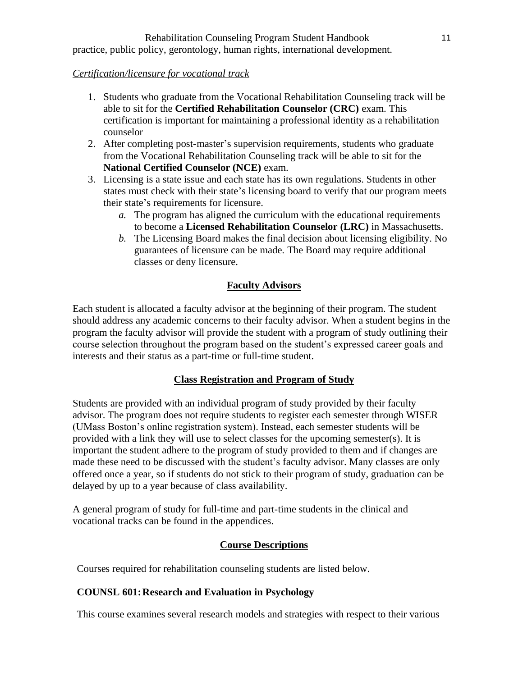# *Certification/licensure for vocational track*

- 1. Students who graduate from the Vocational Rehabilitation Counseling track will be able to sit for the **Certified Rehabilitation Counselor (CRC)** exam. This certification is important for maintaining a professional identity as a rehabilitation counselor
- 2. After completing post-master's supervision requirements, students who graduate from the Vocational Rehabilitation Counseling track will be able to sit for the **National Certified Counselor (NCE)** exam.
- 3. Licensing is a state issue and each state has its own regulations. Students in other states must check with their state's licensing board to verify that our program meets their state's requirements for licensure.
	- *a.* The program has aligned the curriculum with the educational requirements to become a **Licensed Rehabilitation Counselor (LRC)** in Massachusetts.
	- *b.* The Licensing Board makes the final decision about licensing eligibility. No guarantees of licensure can be made. The Board may require additional classes or deny licensure.

# **Faculty Advisors**

<span id="page-10-0"></span>Each student is allocated a faculty advisor at the beginning of their program. The student should address any academic concerns to their faculty advisor. When a student begins in the program the faculty advisor will provide the student with a program of study outlining their course selection throughout the program based on the student's expressed career goals and interests and their status as a part-time or full-time student.

# **Class Registration and Program of Study**

<span id="page-10-1"></span>Students are provided with an individual program of study provided by their faculty advisor. The program does not require students to register each semester through WISER (UMass Boston's online registration system). Instead, each semester students will be provided with a link they will use to select classes for the upcoming semester(s). It is important the student adhere to the program of study provided to them and if changes are made these need to be discussed with the student's faculty advisor. Many classes are only offered once a year, so if students do not stick to their program of study, graduation can be delayed by up to a year because of class availability.

A general program of study for full-time and part-time students in the clinical and vocational tracks can be found in the appendices.

# **Course Descriptions**

<span id="page-10-2"></span>Courses required for rehabilitation counseling students are listed below.

# **COUNSL 601:Research and Evaluation in Psychology**

This course examines several research models and strategies with respect to their various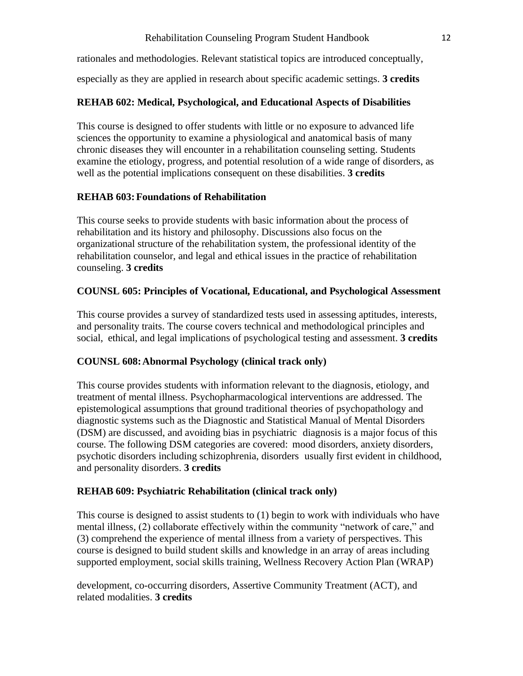# Rehabilitation Counseling Program Student Handbook 12

rationales and methodologies. Relevant statistical topics are introduced conceptually,

especially as they are applied in research about specific academic settings. **3 credits**

# **REHAB 602: Medical, Psychological, and Educational Aspects of Disabilities**

This course is designed to offer students with little or no exposure to advanced life sciences the opportunity to examine a physiological and anatomical basis of many chronic diseases they will encounter in a rehabilitation counseling setting. Students examine the etiology, progress, and potential resolution of a wide range of disorders, as well as the potential implications consequent on these disabilities. **3 credits**

# **REHAB 603:Foundations of Rehabilitation**

This course seeks to provide students with basic information about the process of rehabilitation and its history and philosophy. Discussions also focus on the organizational structure of the rehabilitation system, the professional identity of the rehabilitation counselor, and legal and ethical issues in the practice of rehabilitation counseling. **3 credits**

# **COUNSL 605: Principles of Vocational, Educational, and Psychological Assessment**

This course provides a survey of standardized tests used in assessing aptitudes, interests, and personality traits. The course covers technical and methodological principles and social, ethical, and legal implications of psychological testing and assessment. **3 credits**

# **COUNSL 608:Abnormal Psychology (clinical track only)**

This course provides students with information relevant to the diagnosis, etiology, and treatment of mental illness. Psychopharmacological interventions are addressed. The epistemological assumptions that ground traditional theories of psychopathology and diagnostic systems such as the Diagnostic and Statistical Manual of Mental Disorders (DSM) are discussed, and avoiding bias in psychiatric diagnosis is a major focus of this course. The following DSM categories are covered: mood disorders, anxiety disorders, psychotic disorders including schizophrenia, disorders usually first evident in childhood, and personality disorders. **3 credits**

# **REHAB 609: Psychiatric Rehabilitation (clinical track only)**

This course is designed to assist students to (1) begin to work with individuals who have mental illness, (2) collaborate effectively within the community "network of care," and (3) comprehend the experience of mental illness from a variety of perspectives. This course is designed to build student skills and knowledge in an array of areas including supported employment, social skills training, Wellness Recovery Action Plan (WRAP)

development, co-occurring disorders, Assertive Community Treatment (ACT), and related modalities. **3 credits**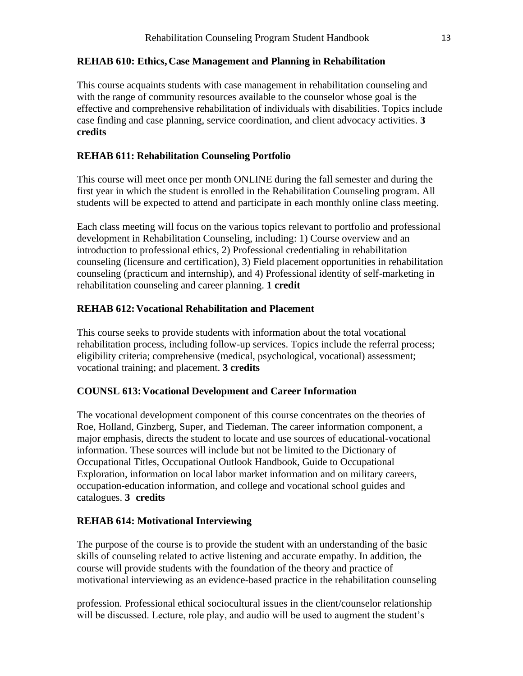#### **REHAB 610: Ethics, Case Management and Planning in Rehabilitation**

This course acquaints students with case management in rehabilitation counseling and with the range of community resources available to the counselor whose goal is the effective and comprehensive rehabilitation of individuals with disabilities. Topics include case finding and case planning, service coordination, and client advocacy activities. **3 credits**

#### **REHAB 611: Rehabilitation Counseling Portfolio**

This course will meet once per month ONLINE during the fall semester and during the first year in which the student is enrolled in the Rehabilitation Counseling program. All students will be expected to attend and participate in each monthly online class meeting.

Each class meeting will focus on the various topics relevant to portfolio and professional development in Rehabilitation Counseling, including: 1) Course overview and an introduction to professional ethics, 2) Professional credentialing in rehabilitation counseling (licensure and certification), 3) Field placement opportunities in rehabilitation counseling (practicum and internship), and 4) Professional identity of self-marketing in rehabilitation counseling and career planning. **1 credit**

#### **REHAB 612: Vocational Rehabilitation and Placement**

This course seeks to provide students with information about the total vocational rehabilitation process, including follow-up services. Topics include the referral process; eligibility criteria; comprehensive (medical, psychological, vocational) assessment; vocational training; and placement. **3 credits**

#### **COUNSL 613:Vocational Development and Career Information**

The vocational development component of this course concentrates on the theories of Roe, Holland, Ginzberg, Super, and Tiedeman. The career information component, a major emphasis, directs the student to locate and use sources of educational-vocational information. These sources will include but not be limited to the Dictionary of Occupational Titles, Occupational Outlook Handbook, Guide to Occupational Exploration, information on local labor market information and on military careers, occupation-education information, and college and vocational school guides and catalogues. **3 credits**

#### **REHAB 614: Motivational Interviewing**

The purpose of the course is to provide the student with an understanding of the basic skills of counseling related to active listening and accurate empathy. In addition, the course will provide students with the foundation of the theory and practice of motivational interviewing as an evidence-based practice in the rehabilitation counseling

profession. Professional ethical sociocultural issues in the client/counselor relationship will be discussed. Lecture, role play, and audio will be used to augment the student's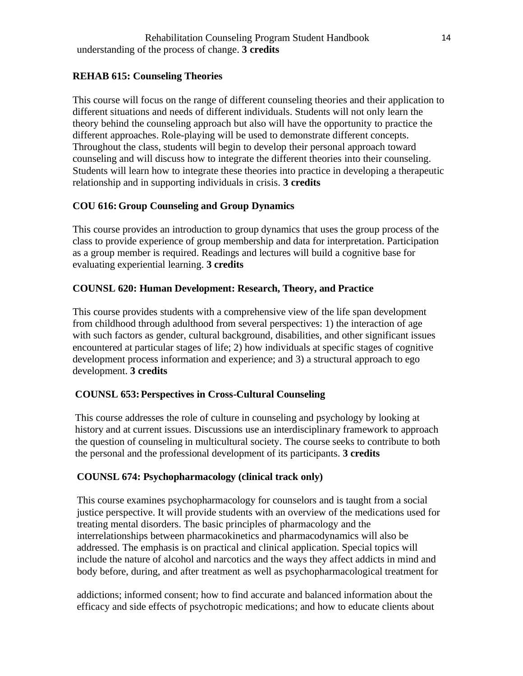# **REHAB 615: Counseling Theories**

This course will focus on the range of different counseling theories and their application to different situations and needs of different individuals. Students will not only learn the theory behind the counseling approach but also will have the opportunity to practice the different approaches. Role-playing will be used to demonstrate different concepts. Throughout the class, students will begin to develop their personal approach toward counseling and will discuss how to integrate the different theories into their counseling. Students will learn how to integrate these theories into practice in developing a therapeutic relationship and in supporting individuals in crisis. **3 credits**

# **COU 616: Group Counseling and Group Dynamics**

This course provides an introduction to group dynamics that uses the group process of the class to provide experience of group membership and data for interpretation. Participation as a group member is required. Readings and lectures will build a cognitive base for evaluating experiential learning. **3 credits**

# **COUNSL 620: Human Development: Research, Theory, and Practice**

This course provides students with a comprehensive view of the life span development from childhood through adulthood from several perspectives: 1) the interaction of age with such factors as gender, cultural background, disabilities, and other significant issues encountered at particular stages of life; 2) how individuals at specific stages of cognitive development process information and experience; and 3) a structural approach to ego development. **3 credits**

# **COUNSL 653:Perspectives in Cross-Cultural Counseling**

This course addresses the role of culture in counseling and psychology by looking at history and at current issues. Discussions use an interdisciplinary framework to approach the question of counseling in multicultural society. The course seeks to contribute to both the personal and the professional development of its participants. **3 credits**

# **COUNSL 674: Psychopharmacology (clinical track only)**

This course examines psychopharmacology for counselors and is taught from a social justice perspective. It will provide students with an overview of the medications used for treating mental disorders. The basic principles of pharmacology and the interrelationships between pharmacokinetics and pharmacodynamics will also be addressed. The emphasis is on practical and clinical application. Special topics will include the nature of alcohol and narcotics and the ways they affect addicts in mind and body before, during, and after treatment as well as psychopharmacological treatment for

addictions; informed consent; how to find accurate and balanced information about the efficacy and side effects of psychotropic medications; and how to educate clients about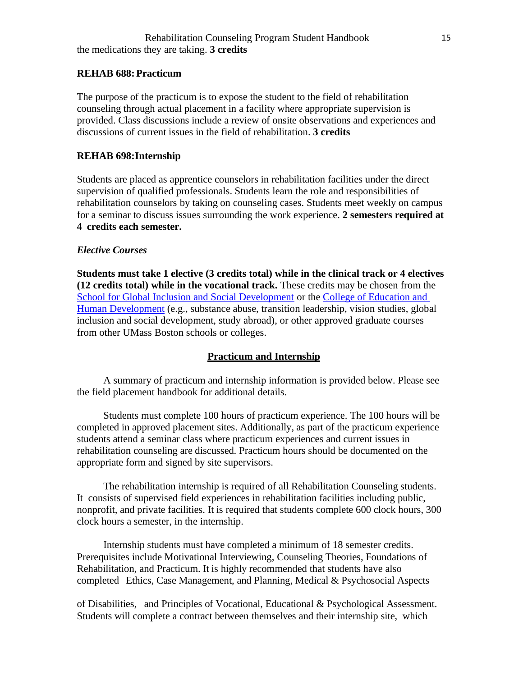#### **REHAB 688:Practicum**

The purpose of the practicum is to expose the student to the field of rehabilitation counseling through actual placement in a facility where appropriate supervision is provided. Class discussions include a review of onsite observations and experiences and discussions of current issues in the field of rehabilitation. **3 credits**

#### **REHAB 698: Internship**

Students are placed as apprentice counselors in rehabilitation facilities under the direct supervision of qualified professionals. Students learn the role and responsibilities of rehabilitation counselors by taking on counseling cases. Students meet weekly on campus for a seminar to discuss issues surrounding the work experience. **2 semesters required at 4 credits each semester.**

#### <span id="page-14-0"></span>*Elective Courses*

**Students must take 1 elective (3 credits total) while in the clinical track or 4 electives (12 credits total) while in the vocational track.** These credits may be chosen from the [School for Global Inclusion and Social Development](https://www.umb.edu/academics/sgisd) or the [College of Education and](https://www.umb.edu/academics/cehd)  [Human Development](https://www.umb.edu/academics/cehd) (e.g., substance abuse, transition leadership, vision studies, global inclusion and social development, study abroad), or other approved graduate courses from other UMass Boston schools or colleges.

#### **Practicum and Internship**

<span id="page-14-1"></span>A summary of practicum and internship information is provided below. Please see the field placement handbook for additional details.

Students must complete 100 hours of practicum experience. The 100 hours will be completed in approved placement sites. Additionally, as part of the practicum experience students attend a seminar class where practicum experiences and current issues in rehabilitation counseling are discussed. Practicum hours should be documented on the appropriate form and signed by site supervisors.

The rehabilitation internship is required of all Rehabilitation Counseling students. It consists of supervised field experiences in rehabilitation facilities including public, nonprofit, and private facilities. It is required that students complete 600 clock hours, 300 clock hours a semester, in the internship.

Internship students must have completed a minimum of 18 semester credits. Prerequisites include Motivational Interviewing, Counseling Theories, Foundations of Rehabilitation, and Practicum. It is highly recommended that students have also completed Ethics, Case Management, and Planning, Medical & Psychosocial Aspects

of Disabilities, and Principles of Vocational, Educational & Psychological Assessment. Students will complete a contract between themselves and their internship site, which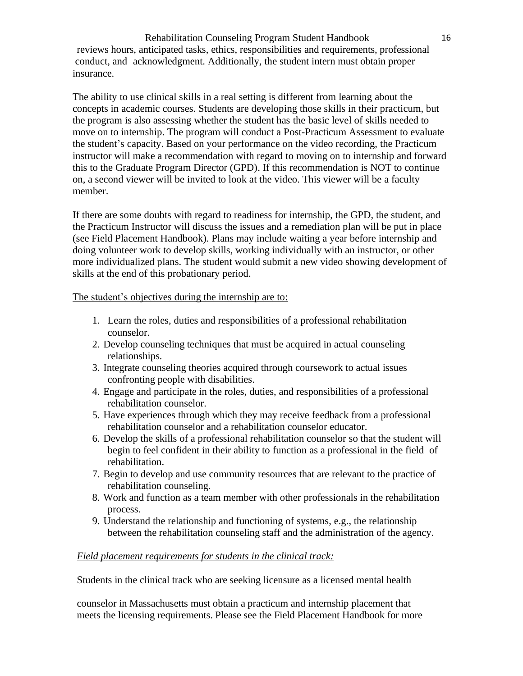Rehabilitation Counseling Program Student Handbook 16 reviews hours, anticipated tasks, ethics, responsibilities and requirements, professional conduct, and acknowledgment. Additionally, the student intern must obtain proper insurance.

The ability to use clinical skills in a real setting is different from learning about the concepts in academic courses. Students are developing those skills in their practicum, but the program is also assessing whether the student has the basic level of skills needed to move on to internship. The program will conduct a Post-Practicum Assessment to evaluate the student's capacity. Based on your performance on the video recording, the Practicum instructor will make a recommendation with regard to moving on to internship and forward this to the Graduate Program Director (GPD). If this recommendation is NOT to continue on, a second viewer will be invited to look at the video. This viewer will be a faculty member.

If there are some doubts with regard to readiness for internship, the GPD, the student, and the Practicum Instructor will discuss the issues and a remediation plan will be put in place (see Field Placement Handbook). Plans may include waiting a year before internship and doing volunteer work to develop skills, working individually with an instructor, or other more individualized plans. The student would submit a new video showing development of skills at the end of this probationary period.

The student's objectives during the internship are to:

- 1. Learn the roles, duties and responsibilities of a professional rehabilitation counselor.
- 2. Develop counseling techniques that must be acquired in actual counseling relationships.
- 3. Integrate counseling theories acquired through coursework to actual issues confronting people with disabilities.
- 4. Engage and participate in the roles, duties, and responsibilities of a professional rehabilitation counselor.
- 5. Have experiences through which they may receive feedback from a professional rehabilitation counselor and a rehabilitation counselor educator.
- 6. Develop the skills of a professional rehabilitation counselor so that the student will begin to feel confident in their ability to function as a professional in the field of rehabilitation.
- 7. Begin to develop and use community resources that are relevant to the practice of rehabilitation counseling.
- 8. Work and function as a team member with other professionals in the rehabilitation process.
- 9. Understand the relationship and functioning of systems, e.g., the relationship between the rehabilitation counseling staff and the administration of the agency.

# *Field placement requirements for students in the clinical track:*

Students in the clinical track who are seeking licensure as a licensed mental health

counselor in Massachusetts must obtain a practicum and internship placement that meets the licensing requirements. Please see the Field Placement Handbook for more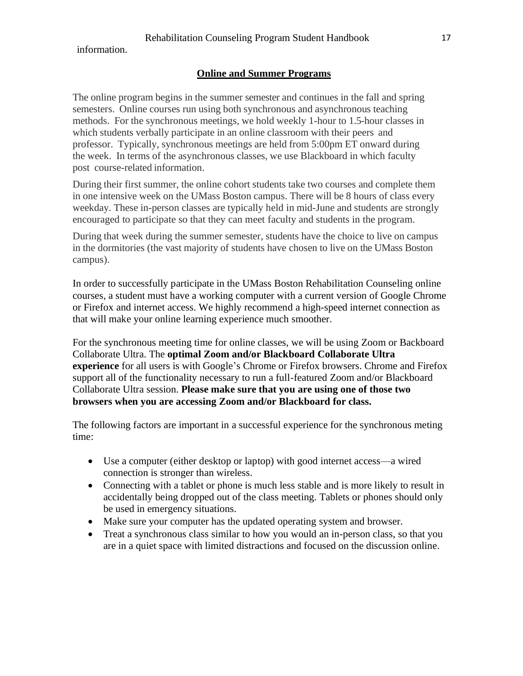<span id="page-16-0"></span>information.

#### **Online and Summer Programs**

The online program begins in the summer semester and continues in the fall and spring semesters. Online courses run using both synchronous and asynchronous teaching methods. For the synchronous meetings, we hold weekly 1-hour to 1.5-hour classes in which students verbally participate in an online classroom with their peers and professor. Typically, synchronous meetings are held from 5:00pm ET onward during the week. In terms of the asynchronous classes, we use Blackboard in which faculty post course-related information.

During their first summer, the online cohort students take two courses and complete them in one intensive week on the UMass Boston campus. There will be 8 hours of class every weekday. These in-person classes are typically held in mid-June and students are strongly encouraged to participate so that they can meet faculty and students in the program.

During that week during the summer semester, students have the choice to live on campus in the dormitories (the vast majority of students have chosen to live on the UMass Boston campus).

In order to successfully participate in the UMass Boston Rehabilitation Counseling online courses, a student must have a working computer with a current version of Google Chrome or Firefox and internet access. We highly recommend a high-speed internet connection as that will make your online learning experience much smoother.

For the synchronous meeting time for online classes, we will be using Zoom or Backboard Collaborate Ultra. The **optimal Zoom and/or Blackboard Collaborate Ultra experience** for all users is with Google's Chrome or Firefox browsers. Chrome and Firefox support all of the functionality necessary to run a full-featured Zoom and/or Blackboard Collaborate Ultra session. **Please make sure that you are using one of those two browsers when you are accessing Zoom and/or Blackboard for class.**

The following factors are important in a successful experience for the synchronous meting time:

- Use a computer (either desktop or laptop) with good internet access—a wired connection is stronger than wireless.
- Connecting with a tablet or phone is much less stable and is more likely to result in accidentally being dropped out of the class meeting. Tablets or phones should only be used in emergency situations.
- Make sure your computer has the updated operating system and browser.
- Treat a synchronous class similar to how you would an in-person class, so that you are in a quiet space with limited distractions and focused on the discussion online.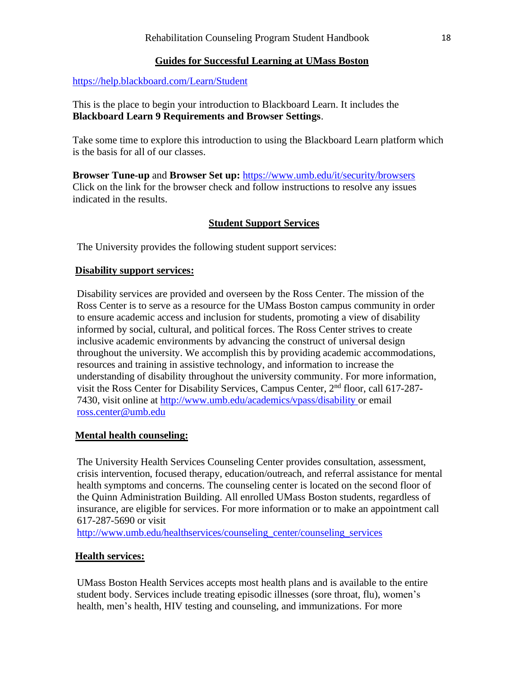# **Guides for Successful Learning at UMass Boston**

# <span id="page-17-0"></span><https://help.blackboard.com/Learn/Student>

This is the place to begin your introduction to Blackboard Learn. It includes the **Blackboard Learn 9 Requirements and Browser Settings**.

Take some time to explore this introduction to using the Blackboard Learn platform which is the basis for all of our classes.

**Browser Tune-up** and **Browser Set up:** <https://www.umb.edu/it/security/browsers> Click on the link for the browser check and follow instructions to resolve any issues indicated in the results.

# **Student Support Services**

<span id="page-17-1"></span>The University provides the following student support services:

# **Disability support services:**

Disability services are provided and overseen by the Ross Center. The mission of the Ross Center is to serve as a resource for the UMass Boston campus community in order to ensure academic access and inclusion for students, promoting a view of disability informed by social, cultural, and political forces. The Ross Center strives to create inclusive academic environments by advancing the construct of universal design throughout the university. We accomplish this by providing academic accommodations, resources and training in assistive technology, and information to increase the understanding of disability throughout the university community. For more information, visit the Ross Center for Disability Services, Campus Center, 2<sup>nd</sup> floor, call 617-287-7430, visit online at <http://www.umb.edu/academics/vpass/disability> or email [ross.center@umb.edu](mailto:ross.center@umb.edu)

# **Mental health counseling:**

The University Health Services Counseling Center provides consultation, assessment, crisis intervention, focused therapy, education/outreach, and referral assistance for mental health symptoms and concerns. The counseling center is located on the second floor of the Quinn Administration Building. All enrolled UMass Boston students, regardless of insurance, are eligible for services. For more information or to make an appointment call 617-287-5690 or visit

[http://www.umb.edu/healthservices/counseling\\_center/counseling\\_services](http://www.umb.edu/healthservices/counseling_center/counseling_services)

# **Health services:**

UMass Boston Health Services accepts most health plans and is available to the entire student body. Services include treating episodic illnesses (sore throat, flu), women's health, men's health, HIV testing and counseling, and immunizations. For more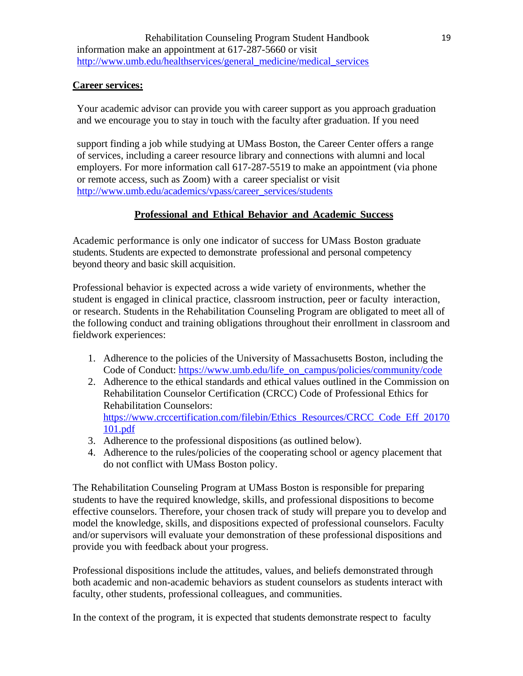# **Career services:**

Your academic advisor can provide you with career support as you approach graduation and we encourage you to stay in touch with the faculty after graduation. If you need

support finding a job while studying at UMass Boston, the Career Center offers a range of services, including a career resource library and connections with alumni and local employers. For more information call 617-287-5519 to make an appointment (via phone or remote access, such as Zoom) with a career specialist or visit [http://www.umb.edu/academics/vpass/career\\_services/students](http://www.umb.edu/academics/vpass/career_services/students)

# **Professional and Ethical Behavior and Academic Success**

<span id="page-18-0"></span>Academic performance is only one indicator of success for UMass Boston graduate students. Students are expected to demonstrate professional and personal competency beyond theory and basic skill acquisition.

Professional behavior is expected across a wide variety of environments, whether the student is engaged in clinical practice, classroom instruction, peer or faculty interaction, or research. Students in the Rehabilitation Counseling Program are obligated to meet all of the following conduct and training obligations throughout their enrollment in classroom and fieldwork experiences:

- 1. Adherence to the policies of the University of Massachusetts Boston, including the Code of Conduct: [https://www.umb.edu/life\\_on\\_campus/policies/community/code](https://www.umb.edu/life_on_campus/policies/community/code)
- 2. Adherence to the ethical standards and ethical values outlined in the Commission on Rehabilitation Counselor Certification (CRCC) Code of Professional Ethics for Rehabilitation Counselors: [https://www.crccertification.com/filebin/Ethics\\_Resources/CRCC\\_Code\\_Eff\\_20170](https://www.crccertification.com/filebin/Ethics_Resources/CRCC_Code_Eff_20170101.pdf) [101.pdf](https://www.crccertification.com/filebin/Ethics_Resources/CRCC_Code_Eff_20170101.pdf)
- 3. Adherence to the professional dispositions (as outlined below).
- 4. Adherence to the rules/policies of the cooperating school or agency placement that do not conflict with UMass Boston policy.

The Rehabilitation Counseling Program at UMass Boston is responsible for preparing students to have the required knowledge, skills, and professional dispositions to become effective counselors. Therefore, your chosen track of study will prepare you to develop and model the knowledge, skills, and dispositions expected of professional counselors. Faculty and/or supervisors will evaluate your demonstration of these professional dispositions and provide you with feedback about your progress.

Professional dispositions include the attitudes, values, and beliefs demonstrated through both academic and non-academic behaviors as student counselors as students interact with faculty, other students, professional colleagues, and communities.

In the context of the program, it is expected that students demonstrate respect to faculty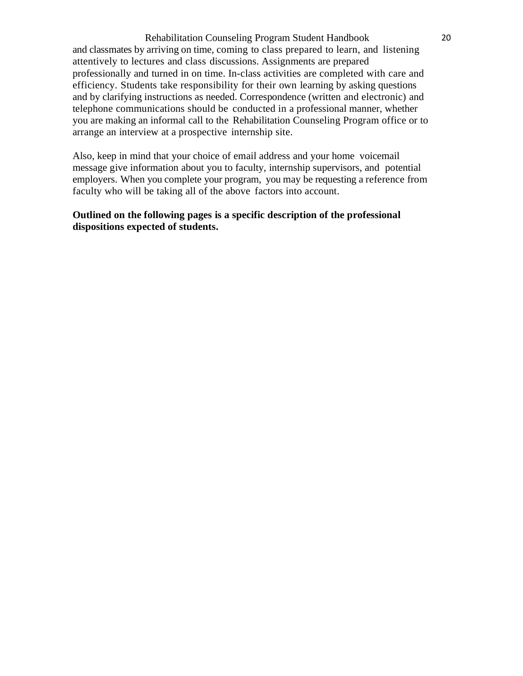Rehabilitation Counseling Program Student Handbook 20 and classmates by arriving on time, coming to class prepared to learn, and listening attentively to lectures and class discussions. Assignments are prepared professionally and turned in on time. In-class activities are completed with care and efficiency. Students take responsibility for their own learning by asking questions and by clarifying instructions as needed. Correspondence (written and electronic) and telephone communications should be conducted in a professional manner, whether you are making an informal call to the Rehabilitation Counseling Program office or to arrange an interview at a prospective internship site.

Also, keep in mind that your choice of email address and your home voicemail message give information about you to faculty, internship supervisors, and potential employers. When you complete your program, you may be requesting a reference from faculty who will be taking all of the above factors into account.

### **Outlined on the following pages is a specific description of the professional dispositions expected of students.**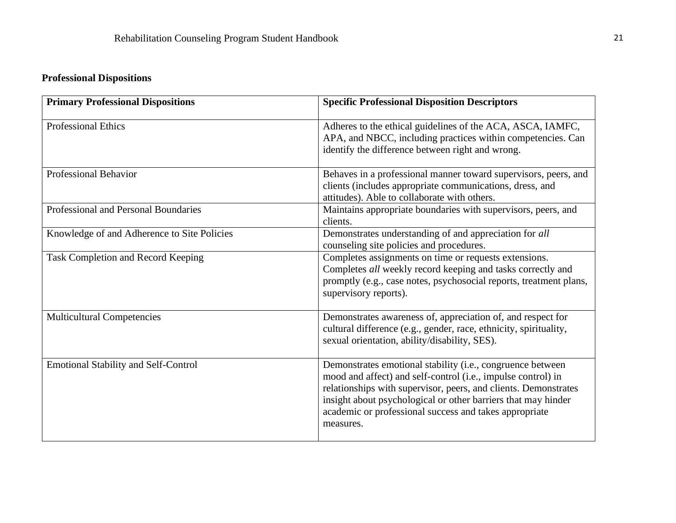# **Professional Dispositions**

<span id="page-20-0"></span>

| <b>Primary Professional Dispositions</b>    | <b>Specific Professional Disposition Descriptors</b>                                                                                                                                                                                                                                                                                  |
|---------------------------------------------|---------------------------------------------------------------------------------------------------------------------------------------------------------------------------------------------------------------------------------------------------------------------------------------------------------------------------------------|
| <b>Professional Ethics</b>                  | Adheres to the ethical guidelines of the ACA, ASCA, IAMFC,<br>APA, and NBCC, including practices within competencies. Can<br>identify the difference between right and wrong.                                                                                                                                                         |
| <b>Professional Behavior</b>                | Behaves in a professional manner toward supervisors, peers, and<br>clients (includes appropriate communications, dress, and<br>attitudes). Able to collaborate with others.                                                                                                                                                           |
| Professional and Personal Boundaries        | Maintains appropriate boundaries with supervisors, peers, and<br>clients.                                                                                                                                                                                                                                                             |
| Knowledge of and Adherence to Site Policies | Demonstrates understanding of and appreciation for all<br>counseling site policies and procedures.                                                                                                                                                                                                                                    |
| Task Completion and Record Keeping          | Completes assignments on time or requests extensions.<br>Completes all weekly record keeping and tasks correctly and<br>promptly (e.g., case notes, psychosocial reports, treatment plans,<br>supervisory reports).                                                                                                                   |
| <b>Multicultural Competencies</b>           | Demonstrates awareness of, appreciation of, and respect for<br>cultural difference (e.g., gender, race, ethnicity, spirituality,<br>sexual orientation, ability/disability, SES).                                                                                                                                                     |
| <b>Emotional Stability and Self-Control</b> | Demonstrates emotional stability (i.e., congruence between<br>mood and affect) and self-control (i.e., impulse control) in<br>relationships with supervisor, peers, and clients. Demonstrates<br>insight about psychological or other barriers that may hinder<br>academic or professional success and takes appropriate<br>measures. |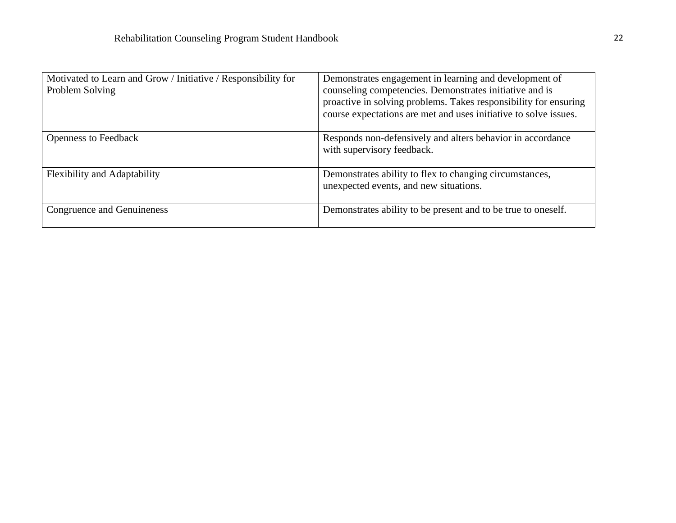| Motivated to Learn and Grow / Initiative / Responsibility for<br>Problem Solving | Demonstrates engagement in learning and development of<br>counseling competencies. Demonstrates initiative and is<br>proactive in solving problems. Takes responsibility for ensuring<br>course expectations are met and uses initiative to solve issues. |
|----------------------------------------------------------------------------------|-----------------------------------------------------------------------------------------------------------------------------------------------------------------------------------------------------------------------------------------------------------|
| <b>Openness to Feedback</b>                                                      | Responds non-defensively and alters behavior in accordance<br>with supervisory feedback.                                                                                                                                                                  |
| <b>Flexibility and Adaptability</b>                                              | Demonstrates ability to flex to changing circumstances,<br>unexpected events, and new situations.                                                                                                                                                         |
| Congruence and Genuineness                                                       | Demonstrates ability to be present and to be true to oneself.                                                                                                                                                                                             |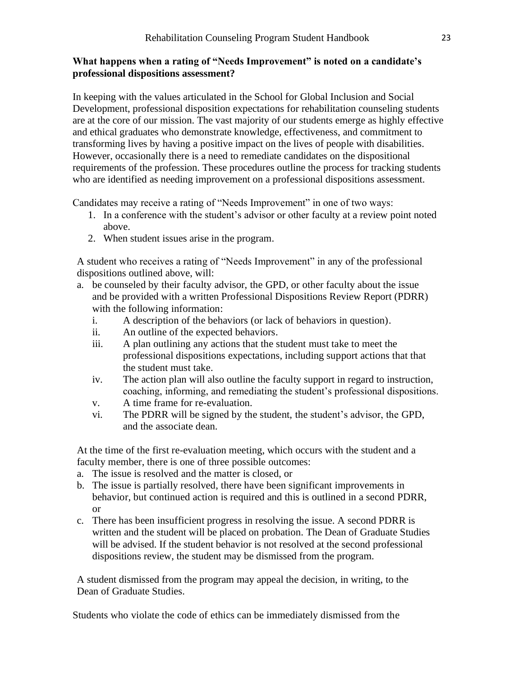# **What happens when a rating of "Needs Improvement" is noted on a candidate's professional dispositions assessment?**

In keeping with the values articulated in the School for Global Inclusion and Social Development, professional disposition expectations for rehabilitation counseling students are at the core of our mission. The vast majority of our students emerge as highly effective and ethical graduates who demonstrate knowledge, effectiveness, and commitment to transforming lives by having a positive impact on the lives of people with disabilities. However, occasionally there is a need to remediate candidates on the dispositional requirements of the profession. These procedures outline the process for tracking students who are identified as needing improvement on a professional dispositions assessment.

Candidates may receive a rating of "Needs Improvement" in one of two ways:

- 1. In a conference with the student's advisor or other faculty at a review point noted above.
- 2. When student issues arise in the program.

A student who receives a rating of "Needs Improvement" in any of the professional dispositions outlined above, will:

- a. be counseled by their faculty advisor, the GPD, or other faculty about the issue and be provided with a written Professional Dispositions Review Report (PDRR) with the following information:
	- i. A description of the behaviors (or lack of behaviors in question).
	- ii. An outline of the expected behaviors.
	- iii. A plan outlining any actions that the student must take to meet the professional dispositions expectations, including support actions that that the student must take.
	- iv. The action plan will also outline the faculty support in regard to instruction, coaching, informing, and remediating the student's professional dispositions.
	- v. A time frame for re-evaluation.
	- vi. The PDRR will be signed by the student, the student's advisor, the GPD, and the associate dean.

At the time of the first re-evaluation meeting, which occurs with the student and a faculty member, there is one of three possible outcomes:

- a. The issue is resolved and the matter is closed, or
- b. The issue is partially resolved, there have been significant improvements in behavior, but continued action is required and this is outlined in a second PDRR, or
- c. There has been insufficient progress in resolving the issue. A second PDRR is written and the student will be placed on probation. The Dean of Graduate Studies will be advised. If the student behavior is not resolved at the second professional dispositions review, the student may be dismissed from the program.

A student dismissed from the program may appeal the decision, in writing, to the Dean of Graduate Studies.

Students who violate the code of ethics can be immediately dismissed from the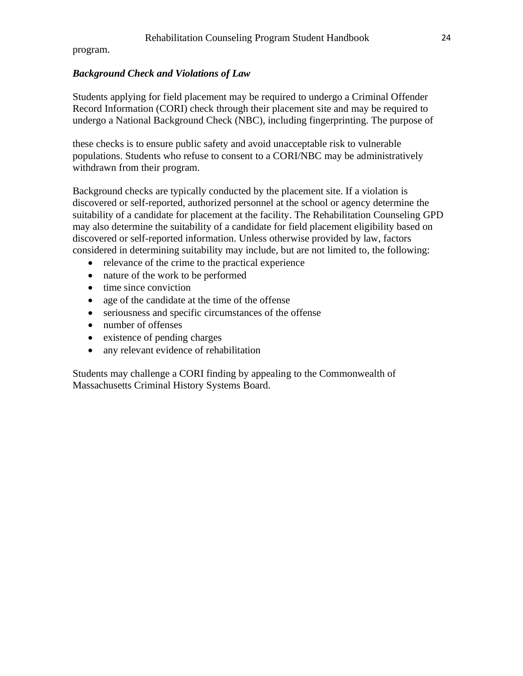program.

#### <span id="page-23-0"></span>*Background Check and Violations of Law*

Students applying for field placement may be required to undergo a Criminal Offender Record Information (CORI) check through their placement site and may be required to undergo a National Background Check (NBC), including fingerprinting. The purpose of

these checks is to ensure public safety and avoid unacceptable risk to vulnerable populations. Students who refuse to consent to a CORI/NBC may be administratively withdrawn from their program.

Background checks are typically conducted by the placement site. If a violation is discovered or self-reported, authorized personnel at the school or agency determine the suitability of a candidate for placement at the facility. The Rehabilitation Counseling GPD may also determine the suitability of a candidate for field placement eligibility based on discovered or self-reported information. Unless otherwise provided by law, factors considered in determining suitability may include, but are not limited to, the following:

- relevance of the crime to the practical experience
- nature of the work to be performed
- time since conviction
- age of the candidate at the time of the offense
- seriousness and specific circumstances of the offense
- number of offenses
- existence of pending charges
- any relevant evidence of rehabilitation

Students may challenge a CORI finding by appealing to the Commonwealth of Massachusetts Criminal History Systems Board.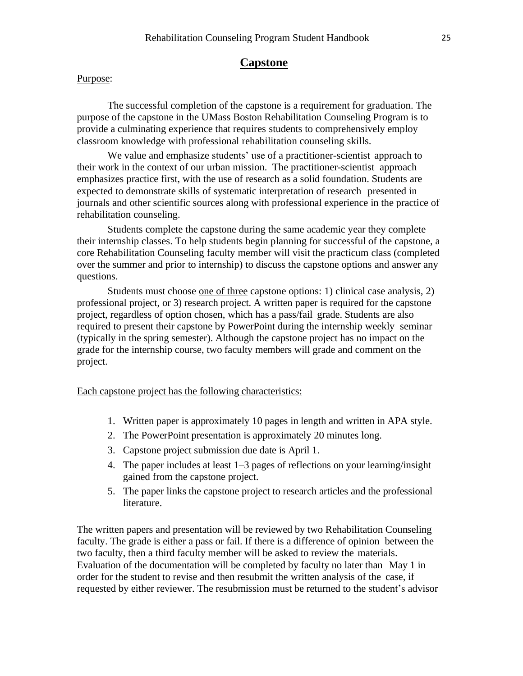# **Capstone**

#### <span id="page-24-0"></span>Purpose:

The successful completion of the capstone is a requirement for graduation. The purpose of the capstone in the UMass Boston Rehabilitation Counseling Program is to provide a culminating experience that requires students to comprehensively employ classroom knowledge with professional rehabilitation counseling skills.

We value and emphasize students' use of a practitioner-scientist approach to their work in the context of our urban mission. The practitioner-scientist approach emphasizes practice first, with the use of research as a solid foundation. Students are expected to demonstrate skills of systematic interpretation of research presented in journals and other scientific sources along with professional experience in the practice of rehabilitation counseling.

Students complete the capstone during the same academic year they complete their internship classes. To help students begin planning for successful of the capstone, a core Rehabilitation Counseling faculty member will visit the practicum class (completed over the summer and prior to internship) to discuss the capstone options and answer any questions.

Students must choose <u>one of three</u> capstone options: 1) clinical case analysis, 2) professional project, or 3) research project. A written paper is required for the capstone project, regardless of option chosen, which has a pass/fail grade. Students are also required to present their capstone by PowerPoint during the internship weekly seminar (typically in the spring semester). Although the capstone project has no impact on the grade for the internship course, two faculty members will grade and comment on the project.

Each capstone project has the following characteristics:

- 1. Written paper is approximately 10 pages in length and written in APA style.
- 2. The PowerPoint presentation is approximately 20 minutes long.
- 3. Capstone project submission due date is April 1.
- 4. The paper includes at least 1–3 pages of reflections on your learning/insight gained from the capstone project.
- 5. The paper links the capstone project to research articles and the professional literature.

The written papers and presentation will be reviewed by two Rehabilitation Counseling faculty. The grade is either a pass or fail. If there is a difference of opinion between the two faculty, then a third faculty member will be asked to review the materials. Evaluation of the documentation will be completed by faculty no later than May 1 in order for the student to revise and then resubmit the written analysis of the case, if requested by either reviewer. The resubmission must be returned to the student's advisor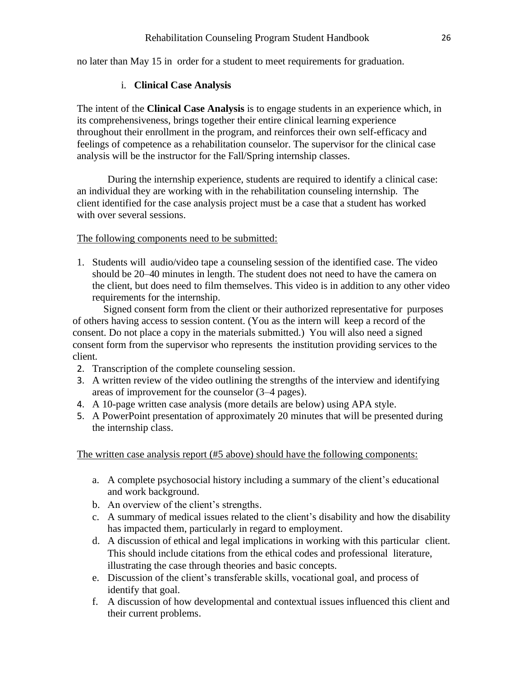<span id="page-25-0"></span>no later than May 15 in order for a student to meet requirements for graduation.

# i. **Clinical Case Analysis**

The intent of the **Clinical Case Analysis** is to engage students in an experience which, in its comprehensiveness, brings together their entire clinical learning experience throughout their enrollment in the program, and reinforces their own self-efficacy and feelings of competence as a rehabilitation counselor. The supervisor for the clinical case analysis will be the instructor for the Fall/Spring internship classes.

During the internship experience, students are required to identify a clinical case: an individual they are working with in the rehabilitation counseling internship. The client identified for the case analysis project must be a case that a student has worked with over several sessions.

#### The following components need to be submitted:

1. Students will audio/video tape a counseling session of the identified case. The video should be 20–40 minutes in length. The student does not need to have the camera on the client, but does need to film themselves. This video is in addition to any other video requirements for the internship.

Signed consent form from the client or their authorized representative for purposes of others having access to session content. (You as the intern will keep a record of the consent. Do not place a copy in the materials submitted.) You will also need a signed consent form from the supervisor who represents the institution providing services to the client.

- 2. Transcription of the complete counseling session.
- 3. A written review of the video outlining the strengths of the interview and identifying areas of improvement for the counselor (3–4 pages).
- 4. A 10-page written case analysis (more details are below) using APA style.
- 5. A PowerPoint presentation of approximately 20 minutes that will be presented during the internship class.

The written case analysis report (#5 above) should have the following components:

- a. A complete psychosocial history including a summary of the client's educational and work background.
- b. An overview of the client's strengths.
- c. A summary of medical issues related to the client's disability and how the disability has impacted them, particularly in regard to employment.
- d. A discussion of ethical and legal implications in working with this particular client. This should include citations from the ethical codes and professional literature, illustrating the case through theories and basic concepts.
- e. Discussion of the client's transferable skills, vocational goal, and process of identify that goal.
- f. A discussion of how developmental and contextual issues influenced this client and their current problems.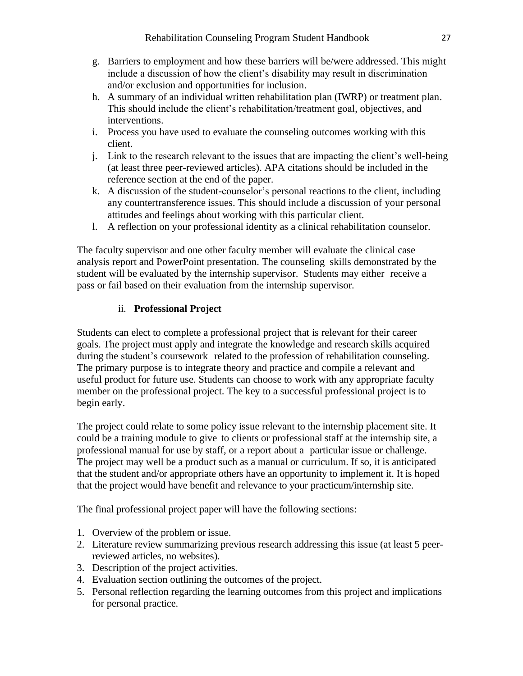- g. Barriers to employment and how these barriers will be/were addressed. This might include a discussion of how the client's disability may result in discrimination and/or exclusion and opportunities for inclusion.
- h. A summary of an individual written rehabilitation plan (IWRP) or treatment plan. This should include the client's rehabilitation/treatment goal, objectives, and interventions.
- i. Process you have used to evaluate the counseling outcomes working with this client.
- j. Link to the research relevant to the issues that are impacting the client's well-being (at least three peer-reviewed articles). APA citations should be included in the reference section at the end of the paper.
- k. A discussion of the student-counselor's personal reactions to the client, including any countertransference issues. This should include a discussion of your personal attitudes and feelings about working with this particular client.
- l. A reflection on your professional identity as a clinical rehabilitation counselor.

The faculty supervisor and one other faculty member will evaluate the clinical case analysis report and PowerPoint presentation. The counseling skills demonstrated by the student will be evaluated by the internship supervisor. Students may either receive a pass or fail based on their evaluation from the internship supervisor.

# ii. **Professional Project**

<span id="page-26-0"></span>Students can elect to complete a professional project that is relevant for their career goals. The project must apply and integrate the knowledge and research skills acquired during the student's coursework related to the profession of rehabilitation counseling. The primary purpose is to integrate theory and practice and compile a relevant and useful product for future use. Students can choose to work with any appropriate faculty member on the professional project. The key to a successful professional project is to begin early.

The project could relate to some policy issue relevant to the internship placement site. It could be a training module to give to clients or professional staff at the internship site, a professional manual for use by staff, or a report about a particular issue or challenge. The project may well be a product such as a manual or curriculum. If so, it is anticipated that the student and/or appropriate others have an opportunity to implement it. It is hoped that the project would have benefit and relevance to your practicum/internship site.

The final professional project paper will have the following sections:

- 1. Overview of the problem or issue.
- 2. Literature review summarizing previous research addressing this issue (at least 5 peerreviewed articles, no websites).
- 3. Description of the project activities.
- 4. Evaluation section outlining the outcomes of the project.
- 5. Personal reflection regarding the learning outcomes from this project and implications for personal practice.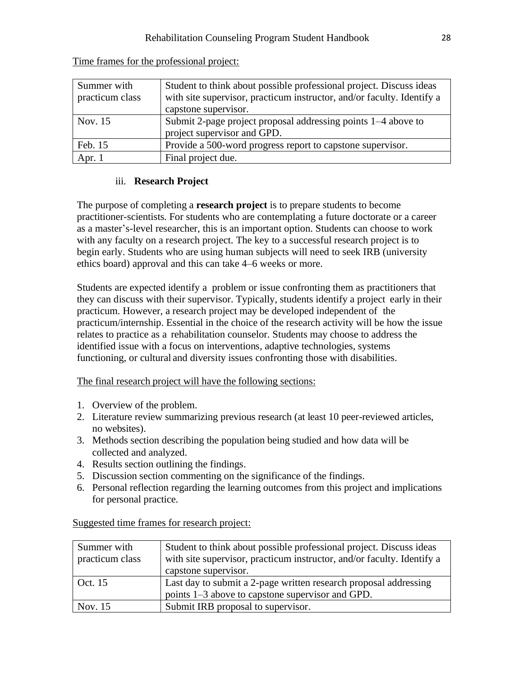| Summer with     | Student to think about possible professional project. Discuss ideas    |
|-----------------|------------------------------------------------------------------------|
| practicum class | with site supervisor, practicum instructor, and/or faculty. Identify a |
|                 | capstone supervisor.                                                   |
| Nov. 15         | Submit 2-page project proposal addressing points 1–4 above to          |
|                 | project supervisor and GPD.                                            |
| Feb. 15         | Provide a 500-word progress report to capstone supervisor.             |
| Apr. $1$        | Final project due.                                                     |

Time frames for the professional project:

# iii. **Research Project**

<span id="page-27-0"></span>The purpose of completing a **research project** is to prepare students to become practitioner-scientists. For students who are contemplating a future doctorate or a career as a master's-level researcher, this is an important option. Students can choose to work with any faculty on a research project. The key to a successful research project is to begin early. Students who are using human subjects will need to seek IRB (university ethics board) approval and this can take 4–6 weeks or more.

Students are expected identify a problem or issue confronting them as practitioners that they can discuss with their supervisor. Typically, students identify a project early in their practicum. However, a research project may be developed independent of the practicum/internship. Essential in the choice of the research activity will be how the issue relates to practice as a rehabilitation counselor. Students may choose to address the identified issue with a focus on interventions, adaptive technologies, systems functioning, or cultural and diversity issues confronting those with disabilities.

The final research project will have the following sections:

- 1. Overview of the problem.
- 2. Literature review summarizing previous research (at least 10 peer-reviewed articles, no websites).
- 3. Methods section describing the population being studied and how data will be collected and analyzed.
- 4. Results section outlining the findings.
- 5. Discussion section commenting on the significance of the findings.
- 6. Personal reflection regarding the learning outcomes from this project and implications for personal practice.

| Summer with     | Student to think about possible professional project. Discuss ideas    |
|-----------------|------------------------------------------------------------------------|
| practicum class | with site supervisor, practicum instructor, and/or faculty. Identify a |
|                 | capstone supervisor.                                                   |
| Oct. 15         | Last day to submit a 2-page written research proposal addressing       |
|                 | points 1–3 above to capstone supervisor and GPD.                       |
| Nov. 15         | Submit IRB proposal to supervisor.                                     |

Suggested time frames for research project: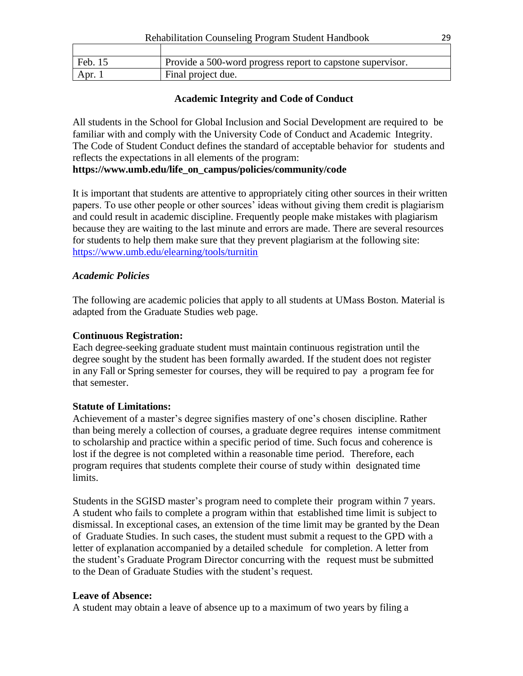| Feb. 15 | Provide a 500-word progress report to capstone supervisor. |
|---------|------------------------------------------------------------|
| Apr.    | Final project due.                                         |

# **Academic Integrity and Code of Conduct**

<span id="page-28-0"></span>All students in the School for Global Inclusion and Social Development are required to be familiar with and comply with the University Code of Conduct and Academic Integrity. The Code of Student Conduct defines the standard of acceptable behavior for students and reflects the expectations in all elements of the program:

# **ht[tps://www.](http://www.umb.edu/life_on_campus/policies/community/code)um[b.edu/life\\_on\\_campus/policies/community/code](http://www.umb.edu/life_on_campus/policies/community/code)**

It is important that students are attentive to appropriately citing other sources in their written papers. To use other people or other sources' ideas without giving them credit is plagiarism and could result in academic discipline. Frequently people make mistakes with plagiarism because they are waiting to the last minute and errors are made. There are several resources for students to help them make sure that they prevent plagiarism at the following site: <https://www.umb.edu/elearning/tools/turnitin>

# <span id="page-28-1"></span>*Academic Policies*

The following are academic policies that apply to all students at UMass Boston. Material is adapted from the Graduate Studies web page.

# **Continuous Registration:**

Each degree-seeking graduate student must maintain continuous registration until the degree sought by the student has been formally awarded. If the student does not register in any Fall or Spring semester for courses, they will be required to pay a program fee for that semester.

# **Statute of Limitations:**

Achievement of a master's degree signifies mastery of one's chosen discipline. Rather than being merely a collection of courses, a graduate degree requires intense commitment to scholarship and practice within a specific period of time. Such focus and coherence is lost if the degree is not completed within a reasonable time period. Therefore, each program requires that students complete their course of study within designated time limits.

Students in the SGISD master's program need to complete their program within 7 years. A student who fails to complete a program within that established time limit is subject to dismissal. In exceptional cases, an extension of the time limit may be granted by the Dean of Graduate Studies. In such cases, the student must submit a request to the GPD with a letter of explanation accompanied by a detailed schedule for completion. A letter from the student's Graduate Program Director concurring with the request must be submitted to the Dean of Graduate Studies with the student's request.

# **Leave of Absence:**

A student may obtain a leave of absence up to a maximum of two years by filing a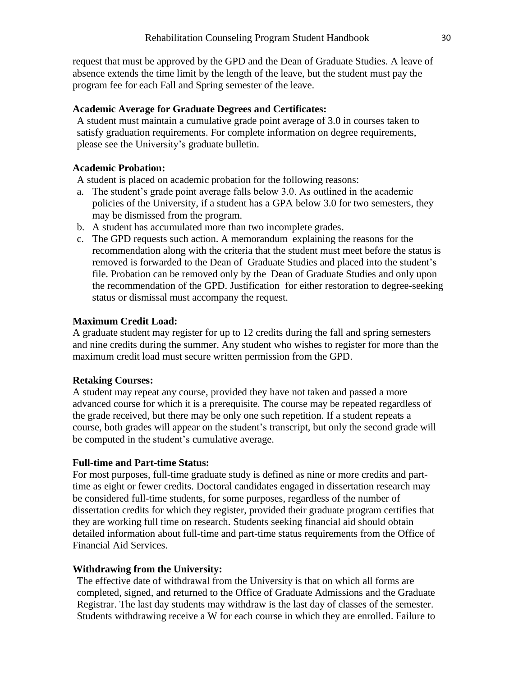request that must be approved by the GPD and the Dean of Graduate Studies. A leave of absence extends the time limit by the length of the leave, but the student must pay the program fee for each Fall and Spring semester of the leave.

#### **Academic Average for Graduate Degrees and Certificates:**

A student must maintain a cumulative grade point average of 3.0 in courses taken to satisfy graduation requirements. For complete information on degree requirements, please see the University's graduate bulletin.

#### **Academic Probation:**

A student is placed on academic probation for the following reasons:

- a. The student's grade point average falls below 3.0. As outlined in the academic policies of the University, if a student has a GPA below 3.0 for two semesters, they may be dismissed from the program.
- b. A student has accumulated more than two incomplete grades.
- c. The GPD requests such action. A memorandum explaining the reasons for the recommendation along with the criteria that the student must meet before the status is removed is forwarded to the Dean of Graduate Studies and placed into the student's file. Probation can be removed only by the Dean of Graduate Studies and only upon the recommendation of the GPD. Justification for either restoration to degree-seeking status or dismissal must accompany the request.

#### **Maximum Credit Load:**

A graduate student may register for up to 12 credits during the fall and spring semesters and nine credits during the summer. Any student who wishes to register for more than the maximum credit load must secure written permission from the GPD.

#### **Retaking Courses:**

A student may repeat any course, provided they have not taken and passed a more advanced course for which it is a prerequisite. The course may be repeated regardless of the grade received, but there may be only one such repetition. If a student repeats a course, both grades will appear on the student's transcript, but only the second grade will be computed in the student's cumulative average.

#### **Full-time and Part-time Status:**

For most purposes, full-time graduate study is defined as nine or more credits and parttime as eight or fewer credits. Doctoral candidates engaged in dissertation research may be considered full-time students, for some purposes, regardless of the number of dissertation credits for which they register, provided their graduate program certifies that they are working full time on research. Students seeking financial aid should obtain detailed information about full-time and part-time status requirements from the Office of Financial Aid Services.

#### **Withdrawing from the University:**

The effective date of withdrawal from the University is that on which all forms are completed, signed, and returned to the Office of Graduate Admissions and the Graduate Registrar. The last day students may withdraw is the last day of classes of the semester. Students withdrawing receive a W for each course in which they are enrolled. Failure to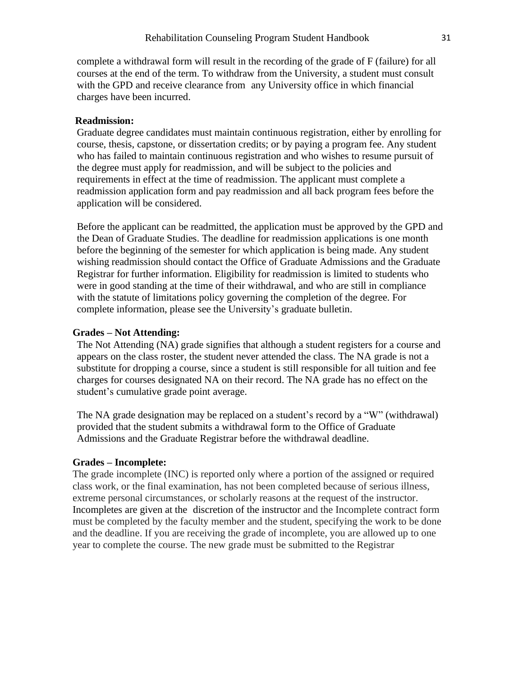complete a withdrawal form will result in the recording of the grade of F (failure) for all courses at the end of the term. To withdraw from the University, a student must consult with the GPD and receive clearance from any University office in which financial charges have been incurred.

#### **Readmission:**

Graduate degree candidates must maintain continuous registration, either by enrolling for course, thesis, capstone, or dissertation credits; or by paying a program fee. Any student who has failed to maintain continuous registration and who wishes to resume pursuit of the degree must apply for readmission, and will be subject to the policies and requirements in effect at the time of readmission. The applicant must complete a readmission application form and pay readmission and all back program fees before the application will be considered.

Before the applicant can be readmitted, the application must be approved by the GPD and the Dean of Graduate Studies. The deadline for readmission applications is one month before the beginning of the semester for which application is being made. Any student wishing readmission should contact the Office of Graduate Admissions and the Graduate Registrar for further information. Eligibility for readmission is limited to students who were in good standing at the time of their withdrawal, and who are still in compliance with the statute of limitations policy governing the completion of the degree. For complete information, please see the University's graduate bulletin.

#### **Grades – Not Attending:**

The Not Attending (NA) grade signifies that although a student registers for a course and appears on the class roster, the student never attended the class. The NA grade is not a substitute for dropping a course, since a student is still responsible for all tuition and fee charges for courses designated NA on their record. The NA grade has no effect on the student's cumulative grade point average.

The NA grade designation may be replaced on a student's record by a "W" (withdrawal) provided that the student submits a withdrawal form to the Office of Graduate Admissions and the Graduate Registrar before the withdrawal deadline.

#### **Grades – Incomplete:**

The grade incomplete (INC) is reported only where a portion of the assigned or required class work, or the final examination, has not been completed because of serious illness, extreme personal circumstances, or scholarly reasons at the request of the instructor. Incompletes are given at the discretion of the instructor and the Incomplete contract form must be completed by the faculty member and the student, specifying the work to be done and the deadline. If you are receiving the grade of incomplete, you are allowed up to one year to complete the course. The new grade must be submitted to the Registrar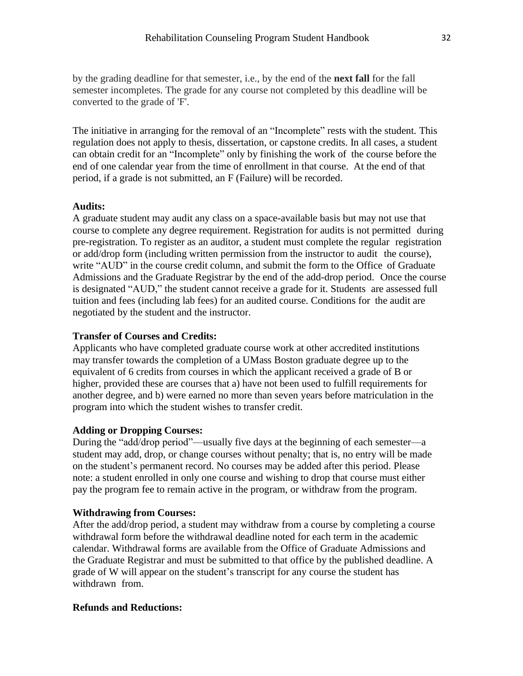by the grading deadline for that semester, i.e., by the end of the **next fall** for the fall semester incompletes. The grade for any course not completed by this deadline will be converted to the grade of 'F'.

The initiative in arranging for the removal of an "Incomplete" rests with the student. This regulation does not apply to thesis, dissertation, or capstone credits. In all cases, a student can obtain credit for an "Incomplete" only by finishing the work of the course before the end of one calendar year from the time of enrollment in that course. At the end of that period, if a grade is not submitted, an F (Failure) will be recorded.

#### **Audits:**

A graduate student may audit any class on a space-available basis but may not use that course to complete any degree requirement. Registration for audits is not permitted during pre-registration. To register as an auditor, a student must complete the regular registration or add/drop form (including written permission from the instructor to audit the course), write "AUD" in the course credit column, and submit the form to the Office of Graduate Admissions and the Graduate Registrar by the end of the add-drop period. Once the course is designated "AUD," the student cannot receive a grade for it. Students are assessed full tuition and fees (including lab fees) for an audited course. Conditions for the audit are negotiated by the student and the instructor.

#### **Transfer of Courses and Credits:**

Applicants who have completed graduate course work at other accredited institutions may transfer towards the completion of a UMass Boston graduate degree up to the equivalent of 6 credits from courses in which the applicant received a grade of B or higher, provided these are courses that a) have not been used to fulfill requirements for another degree, and b) were earned no more than seven years before matriculation in the program into which the student wishes to transfer credit.

#### **Adding or Dropping Courses:**

During the "add/drop period"—usually five days at the beginning of each semester—a student may add, drop, or change courses without penalty; that is, no entry will be made on the student's permanent record. No courses may be added after this period. Please note: a student enrolled in only one course and wishing to drop that course must either pay the program fee to remain active in the program, or withdraw from the program.

#### **Withdrawing from Courses:**

After the add/drop period, a student may withdraw from a course by completing a course withdrawal form before the withdrawal deadline noted for each term in the academic calendar. Withdrawal forms are available from the Office of Graduate Admissions and the Graduate Registrar and must be submitted to that office by the published deadline. A grade of W will appear on the student's transcript for any course the student has withdrawn from.

#### **Refunds and Reductions:**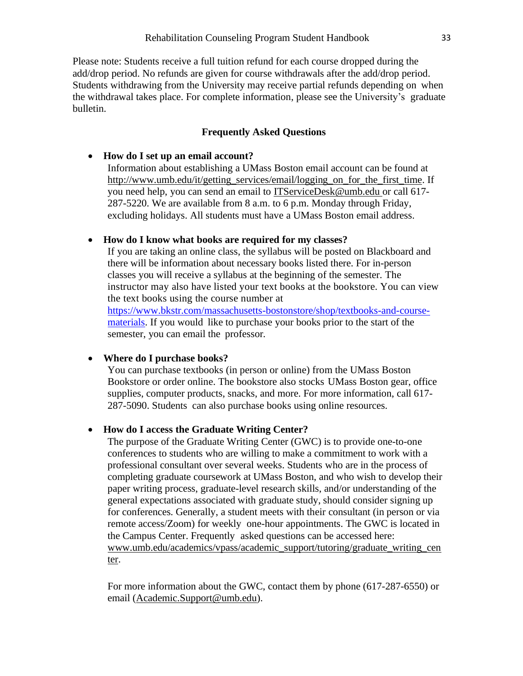Please note: Students receive a full tuition refund for each course dropped during the add/drop period. No refunds are given for course withdrawals after the add/drop period. Students withdrawing from the University may receive partial refunds depending on when the withdrawal takes place. For complete information, please see the University's graduate bulletin.

### **Frequently Asked Questions**

#### <span id="page-32-0"></span>• **How do I set up an email account?**

Information about establishing a UMass Boston email account can be found at [http://www.umb.edu/it/getting\\_services/email/logging\\_on\\_for\\_the\\_first\\_time.](http://www.umb.edu/it/getting_services/email/logging_on_for_the_first_time) If you need help, you can send an email to [ITServiceDesk@umb.edu](mailto:itservicedesk@umb.edu) or call 617- 287-5220. We are available from 8 a.m. to 6 p.m. Monday through Friday, excluding holidays. All students must have a UMass Boston email address.

#### • **How do I know what books are required for my classes?**

If you are taking an online class, the syllabus will be posted on Blackboard and there will be information about necessary books listed there. For in-person classes you will receive a syllabus at the beginning of the semester. The instructor may also have listed your text books at the bookstore. You can view the text books using the course number at [https://www.bkstr.com/massachusetts-bostonstore/shop/textbooks-and-course-](https://www.bkstr.com/massachusetts-bostonstore/shop/textbooks-and-course-materials)

[materials.](https://www.bkstr.com/massachusetts-bostonstore/shop/textbooks-and-course-materials) If you would like to purchase your books prior to the start of the semester, you can email the professor.

# • **Where do I purchase books?**

You can purchase textbooks (in person or online) from the UMass Boston Bookstore or order online. The bookstore also stocks UMass Boston gear, office supplies, computer products, snacks, and more. For more information, call 617- 287-5090. Students can also purchase books using online resources.

# • **How do I access the Graduate Writing Center?**

The purpose of the Graduate Writing Center (GWC) is to provide one-to-one conferences to students who are willing to make a commitment to work with a professional consultant over several weeks. Students who are in the process of completing graduate coursework at UMass Boston, and who wish to develop their paper writing process, graduate-level research skills, and/or understanding of the general expectations associated with graduate study, should consider signing up for conferences. Generally, a student meets with their consultant (in person or via remote access/Zoom) for weekly one-hour appointments. The GWC is located in the Campus Center. Frequently asked questions can be accessed here: [www.umb.edu/academics/vpass/academic\\_support/tutoring/graduate\\_writing\\_cen](http://www.umb.edu/academics/vpass/academic_support/tutoring/graduate_writing_center) [ter.](http://www.umb.edu/academics/vpass/academic_support/tutoring/graduate_writing_center)

For more information about the GWC, contact them by phone (617-287-6550) or email [\(Academic.Support@umb.edu\)](mailto:Academic.Support@umb.edu).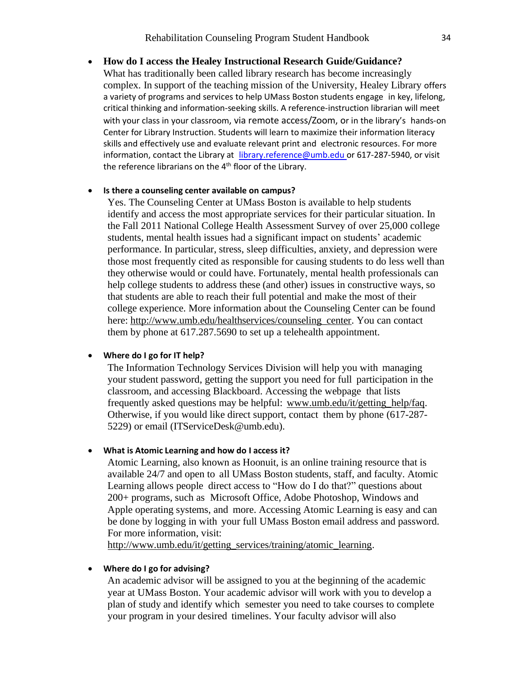# • **How do I access the Healey Instructional Research Guide/Guidance?**

What has traditionally been called library research has become increasingly complex. In support of the teaching mission of the University, Healey Library offers a variety of programs and services to help UMass Boston students engage in key, lifelong, critical thinking and information-seeking skills. A reference-instruction librarian will meet with your class in your classroom, via remote access/Zoom, or in the library's hands-on Center for Library Instruction. Students will learn to maximize their information literacy skills and effectively use and evaluate relevant print and electronic resources. For more information, contact the Library at [library.reference@umb.edu](mailto:library.reference@umb.edu) or 617-287-5940, or visit the reference librarians on the 4<sup>th</sup> floor of the Library.

#### • **Is there a counseling center available on campus?**

Yes. The Counseling Center at UMass Boston is available to help students identify and access the most appropriate services for their particular situation. In the Fall 2011 National College Health Assessment Survey of over 25,000 college students, mental health issues had a significant impact on students' academic performance. In particular, stress, sleep difficulties, anxiety, and depression were those most frequently cited as responsible for causing students to do less well than they otherwise would or could have. Fortunately, mental health professionals can help college students to address these (and other) issues in constructive ways, so that students are able to reach their full potential and make the most of their college experience. More information about the Counseling Center can be found here: [http://www.umb.edu/healthservices/counseling\\_center.](http://www.umb.edu/healthservices/counseling_center) You can contact them by phone at 617.287.5690 to set up a telehealth appointment.

#### • **Where do I go for IT help?**

The Information Technology Services Division will help you with managing your student password, getting the support you need for full participation in the classroom, and accessing Blackboard. Accessing the webpage that lists frequently asked questions may be helpful: [www.umb.edu/it/getting\\_help/faq.](http://www.umb.edu/it/getting_help/faq) Otherwise, if you would like direct support, contact them by phone (617-287- 5229) or email (ITServiceDesk@umb.edu).

#### • **What is Atomic Learning and how do I access it?**

Atomic Learning, also known as Hoonuit, is an online training resource that is available 24/7 and open to all UMass Boston students, staff, and faculty. Atomic Learning allows people direct access to "How do I do that?" questions about 200+ programs, such as Microsoft Office, Adobe Photoshop, Windows and Apple operating systems, and more. Accessing Atomic Learning is easy and can be done by logging in with your full UMass Boston email address and password. For more information, visit:

[http://www.umb.edu/it/getting\\_services/training/atomic\\_learning.](http://www.umb.edu/it/getting_services/training/atomic_learning)

#### • **Where do I go for advising?**

An academic advisor will be assigned to you at the beginning of the academic year at UMass Boston. Your academic advisor will work with you to develop a plan of study and identify which semester you need to take courses to complete your program in your desired timelines. Your faculty advisor will also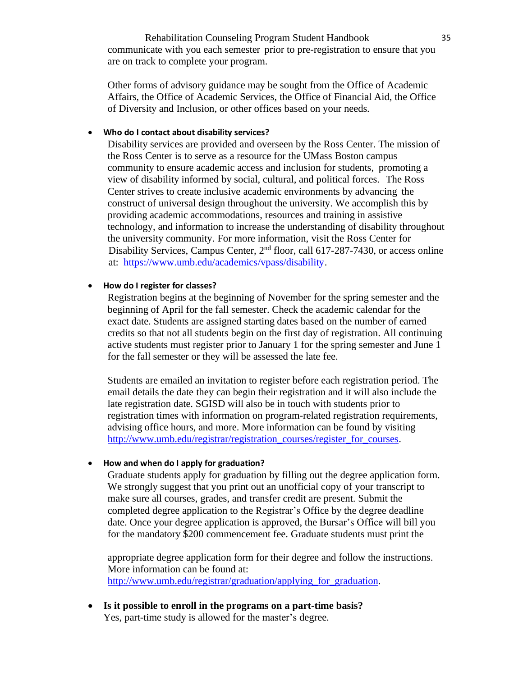Rehabilitation Counseling Program Student Handbook 35 communicate with you each semester prior to pre-registration to ensure that you are on track to complete your program.

Other forms of advisory guidance may be sought from the Office of Academic Affairs, the Office of Academic Services, the Office of Financial Aid, the Office of Diversity and Inclusion, or other offices based on your needs.

#### • **Who do I contact about disability services?**

Disability services are provided and overseen by the Ross Center. The mission of the Ross Center is to serve as a resource for the UMass Boston campus community to ensure academic access and inclusion for students, promoting a view of disability informed by social, cultural, and political forces. The Ross Center strives to create inclusive academic environments by advancing the construct of universal design throughout the university. We accomplish this by providing academic accommodations, resources and training in assistive technology, and information to increase the understanding of disability throughout the university community. For more information, visit the Ross Center for Disability Services, Campus Center, 2<sup>nd</sup> floor, call 617-287-7430, or access online at: [https://www.umb.edu/academics/vpass/disability.](https://www.umb.edu/academics/vpass/disability)

#### • **How do I register for classes?**

Registration begins at the beginning of November for the spring semester and the beginning of April for the fall semester. Check the academic calendar for the exact date. Students are assigned starting dates based on the number of earned credits so that not all students begin on the first day of registration. All continuing active students must register prior to January 1 for the spring semester and June 1 for the fall semester or they will be assessed the late fee.

Students are emailed an invitation to register before each registration period. The email details the date they can begin their registration and it will also include the late registration date. SGISD will also be in touch with students prior to registration times with information on program-related registration requirements, advising office hours, and more. More information can be found by visiting [http://www.umb.edu/registrar/registration\\_courses/register\\_for\\_courses.](http://www.umb.edu/registrar/registration_courses/register_for_courses)

#### • **How and when do I apply for graduation?**

Graduate students apply for graduation by filling out the degree application form. We strongly suggest that you print out an unofficial copy of your transcript to make sure all courses, grades, and transfer credit are present. Submit the completed degree application to the Registrar's Office by the degree deadline date. Once your degree application is approved, the Bursar's Office will bill you for the mandatory \$200 commencement fee. Graduate students must print the

appropriate degree application form for their degree and follow the instructions. More information can be found at: http://www.umb.edu/registrar/graduation/applying for graduation.

• **Is it possible to enroll in the programs on a part-time basis?** Yes, part-time study is allowed for the master's degree.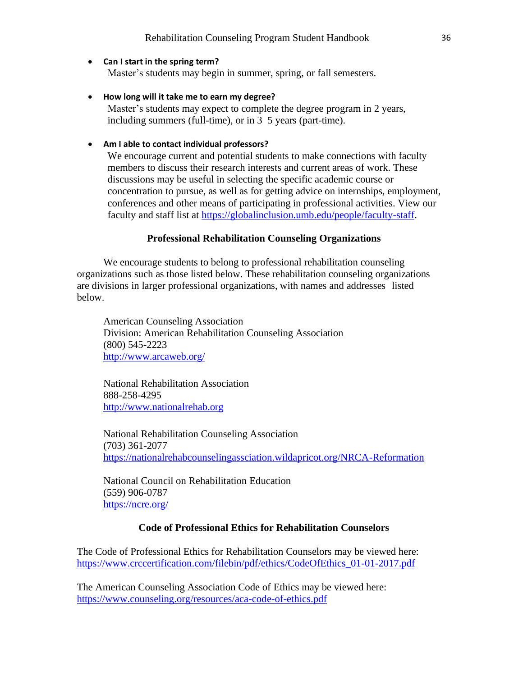#### • **Can I start in the spring term?**

Master's students may begin in summer, spring, or fall semesters.

• **How long will it take me to earn my degree?**

Master's students may expect to complete the degree program in 2 years, including summers (full-time), or in 3–5 years (part-time).

#### • **Am I able to contact individual professors?**

We encourage current and potential students to make connections with faculty members to discuss their research interests and current areas of work. These discussions may be useful in selecting the specific academic course or concentration to pursue, as well as for getting advice on internships, employment, conferences and other means of participating in professional activities. View our faculty and staff list at [https://globalinclusion.umb.edu/people/faculty-staff.](https://globalinclusion.umb.edu/people/faculty-staff)

#### **Professional Rehabilitation Counseling Organizations**

<span id="page-35-0"></span>We encourage students to belong to professional rehabilitation counseling organizations such as those listed below. These rehabilitation counseling organizations are divisions in larger professional organizations, with names and addresses listed below.

American Counseling Association Division: American Rehabilitation Counseling Association (800) 545-2223 <http://www.arcaweb.org/>

National Rehabilitation Association 888-258-4295 [http://www.nationalrehab.org](http://www.nationalrehab.org/)

National Rehabilitation Counseling Association (703) 361-2077 <https://nationalrehabcounselingassciation.wildapricot.org/NRCA-Reformation>

National Council on Rehabilitation Education (559) 906-0787 <https://ncre.org/>

#### **Code of Professional Ethics for Rehabilitation Counselors**

<span id="page-35-1"></span>The Code of Professional Ethics for Rehabilitation Counselors may be viewed here: [https://www.crccertification.com/filebin/pdf/ethics/CodeOfEthics\\_01-01-2017.pdf](https://www.crccertification.com/filebin/pdf/ethics/CodeOfEthics_01-01-2017.pdf)

The American Counseling Association Code of Ethics may be viewed here: <https://www.counseling.org/resources/aca-code-of-ethics.pdf>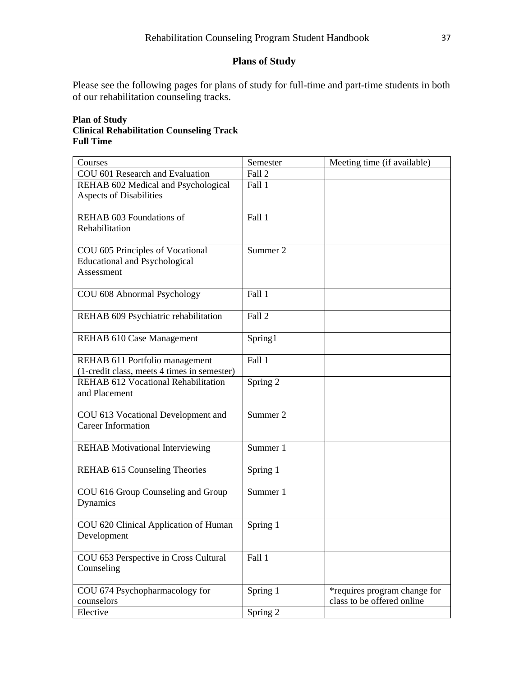# **Plans of Study**

<span id="page-36-0"></span>Please see the following pages for plans of study for full-time and part-time students in both of our rehabilitation counseling tracks.

#### **Plan of Study Clinical Rehabilitation Counseling Track Full Time**

| Courses                                                                                | Semester | Meeting time (if available)                                |
|----------------------------------------------------------------------------------------|----------|------------------------------------------------------------|
| COU 601 Research and Evaluation                                                        | Fall 2   |                                                            |
| REHAB 602 Medical and Psychological<br><b>Aspects of Disabilities</b>                  | Fall 1   |                                                            |
| REHAB 603 Foundations of<br>Rehabilitation                                             | Fall 1   |                                                            |
| COU 605 Principles of Vocational<br><b>Educational and Psychological</b><br>Assessment | Summer 2 |                                                            |
| COU 608 Abnormal Psychology                                                            | Fall 1   |                                                            |
| REHAB 609 Psychiatric rehabilitation                                                   | Fall 2   |                                                            |
| REHAB 610 Case Management                                                              | Spring1  |                                                            |
| REHAB 611 Portfolio management<br>(1-credit class, meets 4 times in semester)          | Fall 1   |                                                            |
| <b>REHAB 612 Vocational Rehabilitation</b><br>and Placement                            | Spring 2 |                                                            |
| COU 613 Vocational Development and<br><b>Career Information</b>                        | Summer 2 |                                                            |
| <b>REHAB</b> Motivational Interviewing                                                 | Summer 1 |                                                            |
| REHAB 615 Counseling Theories                                                          | Spring 1 |                                                            |
| COU 616 Group Counseling and Group<br>Dynamics                                         | Summer 1 |                                                            |
| COU 620 Clinical Application of Human<br>Development                                   | Spring 1 |                                                            |
| COU 653 Perspective in Cross Cultural<br>Counseling                                    | Fall 1   |                                                            |
| COU 674 Psychopharmacology for<br>counselors                                           | Spring 1 | *requires program change for<br>class to be offered online |
| Elective                                                                               | Spring 2 |                                                            |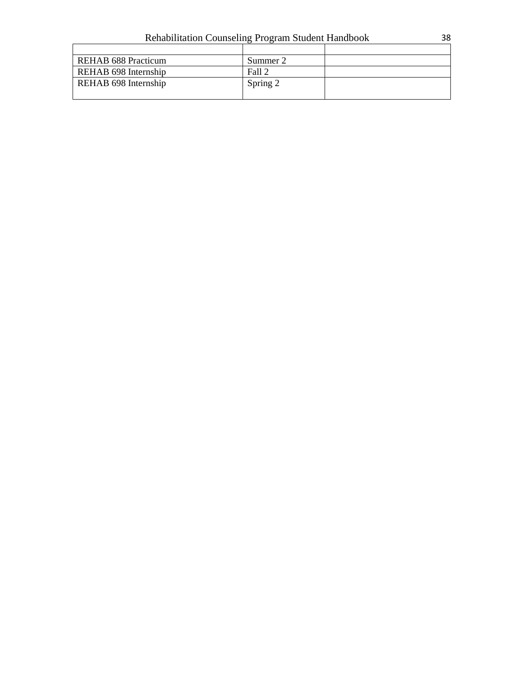| <b>Rehabilitation Counseling Program Student Handbook</b> |  |  |  |
|-----------------------------------------------------------|--|--|--|
|                                                           |  |  |  |

| REHAB 688 Practicum  | Summer 2 |  |
|----------------------|----------|--|
| REHAB 698 Internship | Fall 2   |  |
| REHAB 698 Internship | Spring 2 |  |
|                      |          |  |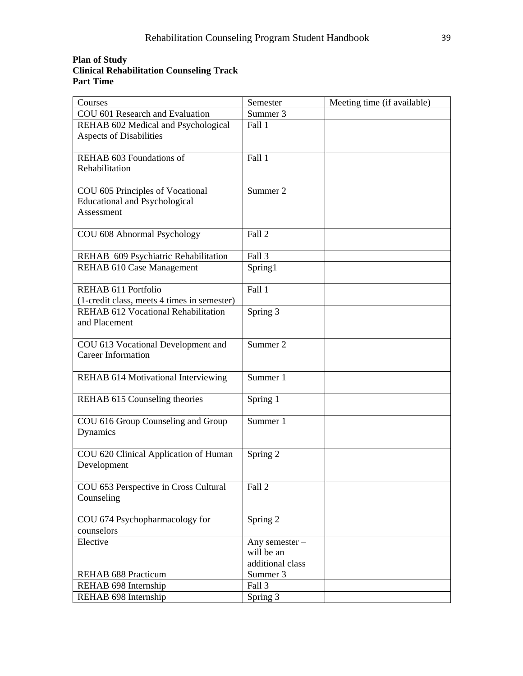#### **Plan of Study Clinical Rehabilitation Counseling Track Part Time**

| Courses                                                                                | Semester                                         | Meeting time (if available) |
|----------------------------------------------------------------------------------------|--------------------------------------------------|-----------------------------|
| COU 601 Research and Evaluation                                                        | Summer 3                                         |                             |
| REHAB 602 Medical and Psychological<br><b>Aspects of Disabilities</b>                  | Fall 1                                           |                             |
| REHAB 603 Foundations of<br>Rehabilitation                                             | Fall 1                                           |                             |
| COU 605 Principles of Vocational<br><b>Educational and Psychological</b><br>Assessment | Summer 2                                         |                             |
| COU 608 Abnormal Psychology                                                            | Fall 2                                           |                             |
| REHAB 609 Psychiatric Rehabilitation                                                   | Fall 3                                           |                             |
| REHAB 610 Case Management                                                              | Spring1                                          |                             |
| REHAB 611 Portfolio<br>(1-credit class, meets 4 times in semester)                     | Fall 1                                           |                             |
| REHAB 612 Vocational Rehabilitation<br>and Placement                                   | Spring 3                                         |                             |
| COU 613 Vocational Development and<br><b>Career Information</b>                        | Summer 2                                         |                             |
| <b>REHAB 614 Motivational Interviewing</b>                                             | Summer 1                                         |                             |
| REHAB 615 Counseling theories                                                          | Spring 1                                         |                             |
| COU 616 Group Counseling and Group<br>Dynamics                                         | Summer 1                                         |                             |
| COU 620 Clinical Application of Human<br>Development                                   | Spring 2                                         |                             |
| COU 653 Perspective in Cross Cultural<br>Counseling                                    | Fall 2                                           |                             |
| COU 674 Psychopharmacology for<br>counselors                                           | Spring 2                                         |                             |
| Elective                                                                               | Any semester -<br>will be an<br>additional class |                             |
| <b>REHAB 688 Practicum</b>                                                             | Summer 3                                         |                             |
| REHAB 698 Internship                                                                   | Fall 3                                           |                             |
| REHAB 698 Internship                                                                   | Spring 3                                         |                             |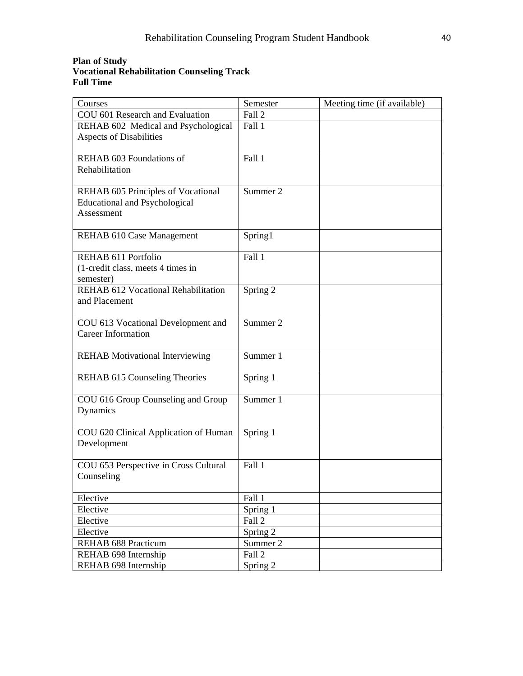# **Plan of Study Vocational Rehabilitation Counseling Track Full Time**

| Courses                                                         | Semester | Meeting time (if available) |
|-----------------------------------------------------------------|----------|-----------------------------|
| COU 601 Research and Evaluation                                 | Fall 2   |                             |
| REHAB 602 Medical and Psychological                             | Fall 1   |                             |
| Aspects of Disabilities                                         |          |                             |
|                                                                 |          |                             |
| REHAB 603 Foundations of                                        | Fall 1   |                             |
| Rehabilitation                                                  |          |                             |
|                                                                 |          |                             |
| REHAB 605 Principles of Vocational                              | Summer 2 |                             |
| <b>Educational and Psychological</b>                            |          |                             |
| Assessment                                                      |          |                             |
|                                                                 |          |                             |
| REHAB 610 Case Management                                       | Spring1  |                             |
|                                                                 |          |                             |
| REHAB 611 Portfolio                                             | Fall 1   |                             |
| (1-credit class, meets 4 times in                               |          |                             |
| semester)                                                       |          |                             |
| <b>REHAB 612 Vocational Rehabilitation</b>                      | Spring 2 |                             |
| and Placement                                                   |          |                             |
|                                                                 | Summer 2 |                             |
| COU 613 Vocational Development and<br><b>Career Information</b> |          |                             |
|                                                                 |          |                             |
| <b>REHAB</b> Motivational Interviewing                          | Summer 1 |                             |
|                                                                 |          |                             |
| REHAB 615 Counseling Theories                                   | Spring 1 |                             |
|                                                                 |          |                             |
| COU 616 Group Counseling and Group                              | Summer 1 |                             |
| Dynamics                                                        |          |                             |
|                                                                 |          |                             |
| COU 620 Clinical Application of Human                           | Spring 1 |                             |
| Development                                                     |          |                             |
|                                                                 |          |                             |
| COU 653 Perspective in Cross Cultural                           | Fall 1   |                             |
| Counseling                                                      |          |                             |
|                                                                 |          |                             |
| Elective                                                        | Fall 1   |                             |
| Elective                                                        | Spring 1 |                             |
| Elective                                                        | Fall 2   |                             |
| Elective                                                        | Spring 2 |                             |
| REHAB 688 Practicum                                             | Summer 2 |                             |
| REHAB 698 Internship                                            | Fall 2   |                             |
| REHAB 698 Internship                                            | Spring 2 |                             |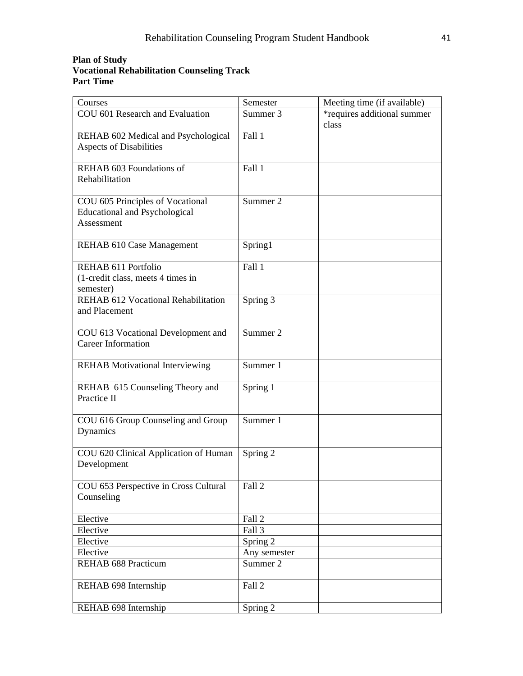#### **Plan of Study Vocational Rehabilitation Counseling Track Part Time**

| Courses                                | Semester     | Meeting time (if available) |
|----------------------------------------|--------------|-----------------------------|
| COU 601 Research and Evaluation        | Summer 3     | *requires additional summer |
|                                        |              | class                       |
| REHAB 602 Medical and Psychological    | Fall 1       |                             |
| Aspects of Disabilities                |              |                             |
|                                        |              |                             |
| REHAB 603 Foundations of               | Fall 1       |                             |
| Rehabilitation                         |              |                             |
|                                        |              |                             |
| COU 605 Principles of Vocational       | Summer 2     |                             |
| <b>Educational and Psychological</b>   |              |                             |
| Assessment                             |              |                             |
|                                        |              |                             |
| REHAB 610 Case Management              | Spring1      |                             |
|                                        |              |                             |
| REHAB 611 Portfolio                    | Fall 1       |                             |
| (1-credit class, meets 4 times in      |              |                             |
| semester)                              |              |                             |
| REHAB 612 Vocational Rehabilitation    | Spring 3     |                             |
| and Placement                          |              |                             |
|                                        |              |                             |
| COU 613 Vocational Development and     | Summer 2     |                             |
| <b>Career Information</b>              |              |                             |
|                                        |              |                             |
| <b>REHAB</b> Motivational Interviewing | Summer 1     |                             |
|                                        |              |                             |
| REHAB 615 Counseling Theory and        | Spring 1     |                             |
| Practice II                            |              |                             |
|                                        |              |                             |
| COU 616 Group Counseling and Group     | Summer 1     |                             |
| Dynamics                               |              |                             |
|                                        |              |                             |
| COU 620 Clinical Application of Human  | Spring 2     |                             |
| Development                            |              |                             |
|                                        |              |                             |
| COU 653 Perspective in Cross Cultural  | Fall 2       |                             |
| Counseling                             |              |                             |
|                                        |              |                             |
| Elective                               | Fall 2       |                             |
| Elective                               | Fall 3       |                             |
| Elective                               | Spring 2     |                             |
| Elective                               | Any semester |                             |
| REHAB 688 Practicum                    | Summer 2     |                             |
|                                        |              |                             |
| REHAB 698 Internship                   | Fall 2       |                             |
| REHAB 698 Internship                   | Spring 2     |                             |
|                                        |              |                             |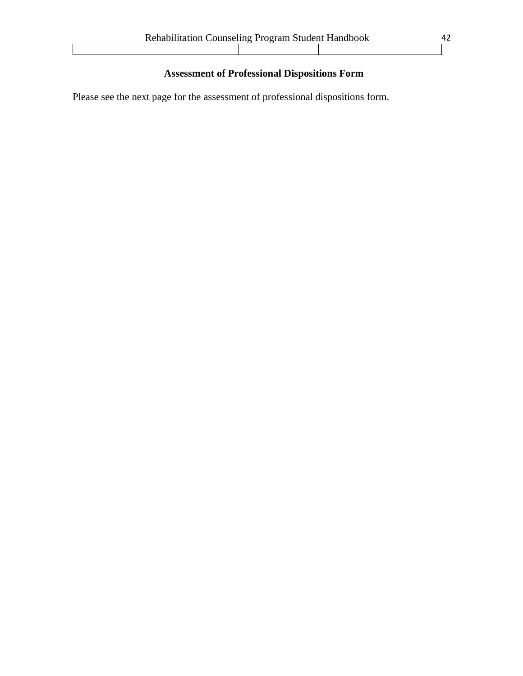# **Assessment of Professional Dispositions Form**

<span id="page-41-0"></span>Please see the next page for the assessment of professional dispositions form.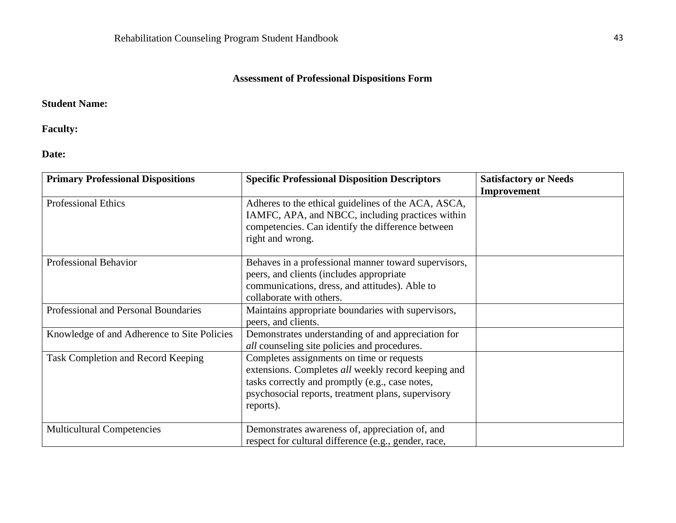# **Assessment of Professional Dispositions Form**

# **Student Name:**

**Faculty:**

**Date:**

| <b>Primary Professional Dispositions</b>    | <b>Specific Professional Disposition Descriptors</b>                                                                                                                                                                   | <b>Satisfactory or Needs</b><br><b>Improvement</b> |
|---------------------------------------------|------------------------------------------------------------------------------------------------------------------------------------------------------------------------------------------------------------------------|----------------------------------------------------|
| <b>Professional Ethics</b>                  | Adheres to the ethical guidelines of the ACA, ASCA,<br>IAMFC, APA, and NBCC, including practices within<br>competencies. Can identify the difference between<br>right and wrong.                                       |                                                    |
| <b>Professional Behavior</b>                | Behaves in a professional manner toward supervisors,<br>peers, and clients (includes appropriate<br>communications, dress, and attitudes). Able to<br>collaborate with others.                                         |                                                    |
| Professional and Personal Boundaries        | Maintains appropriate boundaries with supervisors,<br>peers, and clients.                                                                                                                                              |                                                    |
| Knowledge of and Adherence to Site Policies | Demonstrates understanding of and appreciation for<br><i>all</i> counseling site policies and procedures.                                                                                                              |                                                    |
| <b>Task Completion and Record Keeping</b>   | Completes assignments on time or requests<br>extensions. Completes all weekly record keeping and<br>tasks correctly and promptly (e.g., case notes,<br>psychosocial reports, treatment plans, supervisory<br>reports). |                                                    |
| <b>Multicultural Competencies</b>           | Demonstrates awareness of, appreciation of, and<br>respect for cultural difference (e.g., gender, race,                                                                                                                |                                                    |